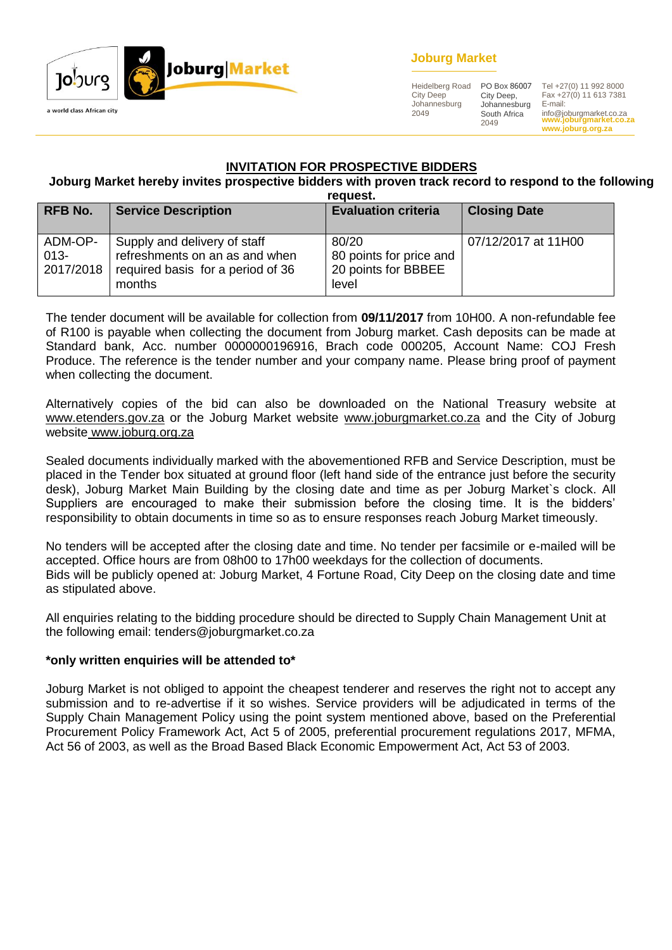

# **Joburg Market**

Heidelberg Road City Deep Johannesburg 2049

City Deep, Johannesburg South Africa 2049

**www.joburgmarket.co.za** info@joburgmarket.co.za **www.joburg.org.za** PO Box 86007 Tel +27(0) 11 992 8000 Fax +27(0) 11 613 7381 E-mail:

# **INVITATION FOR PROSPECTIVE BIDDERS**

# **Joburg Market hereby invites prospective bidders with proven track record to respond to the following**

| request.       |                                   |                            |                     |  |
|----------------|-----------------------------------|----------------------------|---------------------|--|
| <b>RFB No.</b> | <b>Service Description</b>        | <b>Evaluation criteria</b> | <b>Closing Date</b> |  |
|                |                                   |                            |                     |  |
| ADM-OP-        | Supply and delivery of staff      | 80/20                      | 07/12/2017 at 11H00 |  |
| $013 -$        | refreshments on an as and when    | 80 points for price and    |                     |  |
| 2017/2018      | required basis for a period of 36 | 20 points for BBBEE        |                     |  |
|                | months                            | level                      |                     |  |

The tender document will be available for collection from **09/11/2017** from 10H00. A non-refundable fee of R100 is payable when collecting the document from Joburg market. Cash deposits can be made at Standard bank, Acc. number 0000000196916, Brach code 000205, Account Name: COJ Fresh Produce. The reference is the tender number and your company name. Please bring proof of payment when collecting the document.

Alternatively copies of the bid can also be downloaded on the National Treasury website at [www.etenders.gov.za](http://www.etenders.gov.za/) or the Joburg Market website [www.joburgmarket.co.za](http://www.joburgmarket.co.za/) and the City of Joburg website [www.joburg.org.za](http://www.joburg.org.za/)

Sealed documents individually marked with the abovementioned RFB and Service Description, must be placed in the Tender box situated at ground floor (left hand side of the entrance just before the security desk), Joburg Market Main Building by the closing date and time as per Joburg Market`s clock. All Suppliers are encouraged to make their submission before the closing time. It is the bidders' responsibility to obtain documents in time so as to ensure responses reach Joburg Market timeously.

No tenders will be accepted after the closing date and time. No tender per facsimile or e-mailed will be accepted. Office hours are from 08h00 to 17h00 weekdays for the collection of documents. Bids will be publicly opened at: Joburg Market, 4 Fortune Road, City Deep on the closing date and time as stipulated above.

All enquiries relating to the bidding procedure should be directed to Supply Chain Management Unit at the following email: tenders@joburgmarket.co.za

#### **\*only written enquiries will be attended to\***

Joburg Market is not obliged to appoint the cheapest tenderer and reserves the right not to accept any submission and to re-advertise if it so wishes. Service providers will be adjudicated in terms of the Supply Chain Management Policy using the point system mentioned above, based on the Preferential Procurement Policy Framework Act, Act 5 of 2005, preferential procurement regulations 2017, MFMA, Act 56 of 2003, as well as the Broad Based Black Economic Empowerment Act, Act 53 of 2003.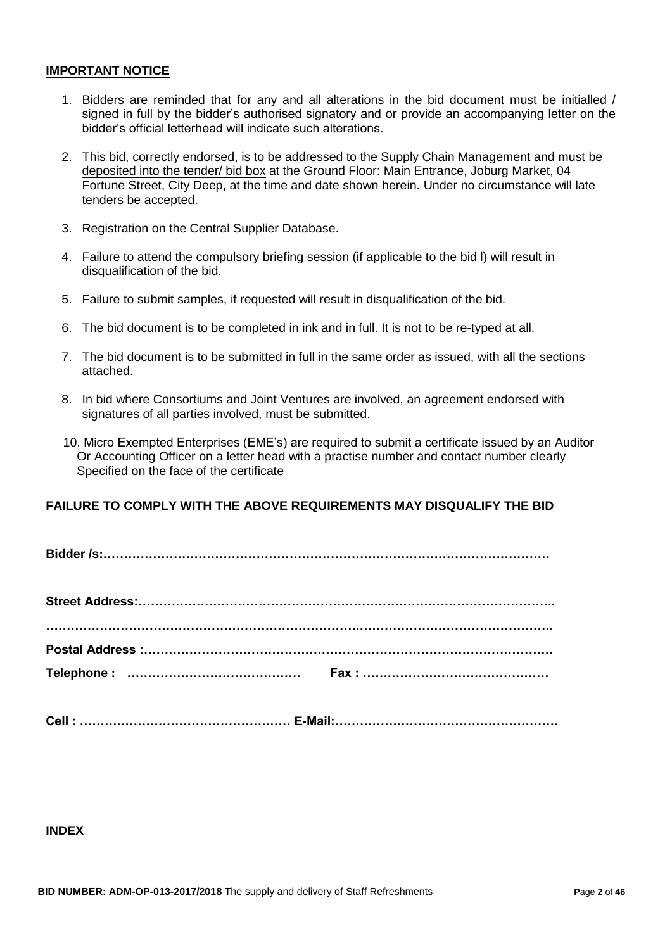#### **IMPORTANT NOTICE**

- 1. Bidders are reminded that for any and all alterations in the bid document must be initialled / signed in full by the bidder's authorised signatory and or provide an accompanying letter on the bidder's official letterhead will indicate such alterations.
- 2. This bid, correctly endorsed, is to be addressed to the Supply Chain Management and must be deposited into the tender/ bid box at the Ground Floor: Main Entrance, Joburg Market, 04 Fortune Street, City Deep, at the time and date shown herein. Under no circumstance will late tenders be accepted.
- 3. Registration on the Central Supplier Database.
- 4. Failure to attend the compulsory briefing session (if applicable to the bid l) will result in disqualification of the bid.
- 5. Failure to submit samples, if requested will result in disqualification of the bid.
- 6. The bid document is to be completed in ink and in full. It is not to be re-typed at all.
- 7. The bid document is to be submitted in full in the same order as issued, with all the sections attached.
- 8. In bid where Consortiums and Joint Ventures are involved, an agreement endorsed with signatures of all parties involved, must be submitted.
- 10. Micro Exempted Enterprises (EME's) are required to submit a certificate issued by an Auditor Or Accounting Officer on a letter head with a practise number and contact number clearly Specified on the face of the certificate

#### **FAILURE TO COMPLY WITH THE ABOVE REQUIREMENTS MAY DISQUALIFY THE BID**

|--|--|--|

| Cell:……………………………………………… E-Mail:………………………………………………… |
|----------------------------------------------------|
|                                                    |

# **INDEX**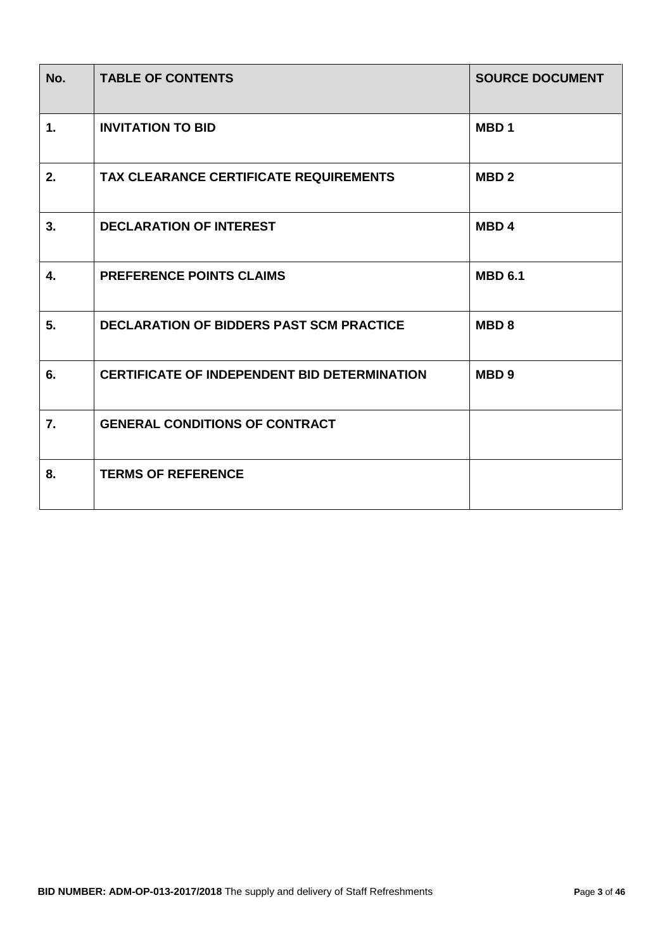| No.            | <b>TABLE OF CONTENTS</b>                            | <b>SOURCE DOCUMENT</b> |
|----------------|-----------------------------------------------------|------------------------|
| $\mathbf{1}$ . | <b>INVITATION TO BID</b>                            | MBD <sub>1</sub>       |
| 2.             | TAX CLEARANCE CERTIFICATE REQUIREMENTS              | MBD <sub>2</sub>       |
| 3.             | <b>DECLARATION OF INTEREST</b>                      | MBD <sub>4</sub>       |
| 4.             | <b>PREFERENCE POINTS CLAIMS</b>                     | <b>MBD 6.1</b>         |
| 5.             | <b>DECLARATION OF BIDDERS PAST SCM PRACTICE</b>     | <b>MBD8</b>            |
| 6.             | <b>CERTIFICATE OF INDEPENDENT BID DETERMINATION</b> | MBD <sub>9</sub>       |
| 7.             | <b>GENERAL CONDITIONS OF CONTRACT</b>               |                        |
| 8.             | <b>TERMS OF REFERENCE</b>                           |                        |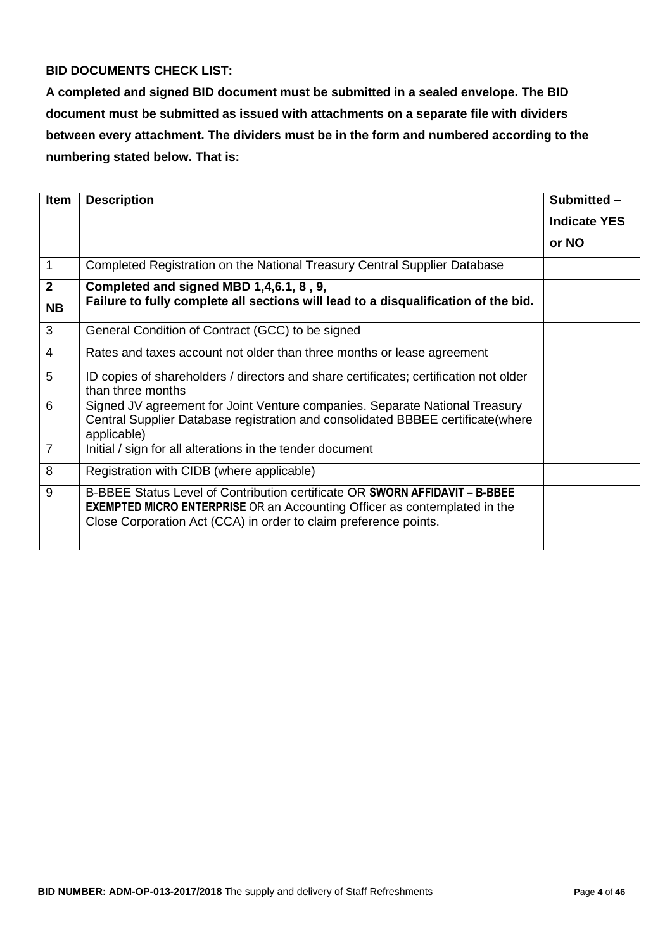# **BID DOCUMENTS CHECK LIST:**

**A completed and signed BID document must be submitted in a sealed envelope. The BID document must be submitted as issued with attachments on a separate file with dividers between every attachment. The dividers must be in the form and numbered according to the numbering stated below. That is:**

| <b>Item</b>    | <b>Description</b>                                                                                                                                                                                                                  | Submitted -         |
|----------------|-------------------------------------------------------------------------------------------------------------------------------------------------------------------------------------------------------------------------------------|---------------------|
|                |                                                                                                                                                                                                                                     | <b>Indicate YES</b> |
|                |                                                                                                                                                                                                                                     | or NO               |
| $\mathbf{1}$   | Completed Registration on the National Treasury Central Supplier Database                                                                                                                                                           |                     |
| $\mathbf{2}$   | Completed and signed MBD 1,4,6.1, 8, 9,                                                                                                                                                                                             |                     |
| <b>NB</b>      | Failure to fully complete all sections will lead to a disqualification of the bid.                                                                                                                                                  |                     |
| 3              | General Condition of Contract (GCC) to be signed                                                                                                                                                                                    |                     |
| $\overline{4}$ | Rates and taxes account not older than three months or lease agreement                                                                                                                                                              |                     |
| 5              | ID copies of shareholders / directors and share certificates; certification not older<br>than three months                                                                                                                          |                     |
| 6              | Signed JV agreement for Joint Venture companies. Separate National Treasury<br>Central Supplier Database registration and consolidated BBBEE certificate (where<br>applicable)                                                      |                     |
| $\overline{7}$ | Initial / sign for all alterations in the tender document                                                                                                                                                                           |                     |
| 8              | Registration with CIDB (where applicable)                                                                                                                                                                                           |                     |
| 9              | B-BBEE Status Level of Contribution certificate OR SWORN AFFIDAVIT - B-BBEE<br><b>EXEMPTED MICRO ENTERPRISE</b> OR an Accounting Officer as contemplated in the<br>Close Corporation Act (CCA) in order to claim preference points. |                     |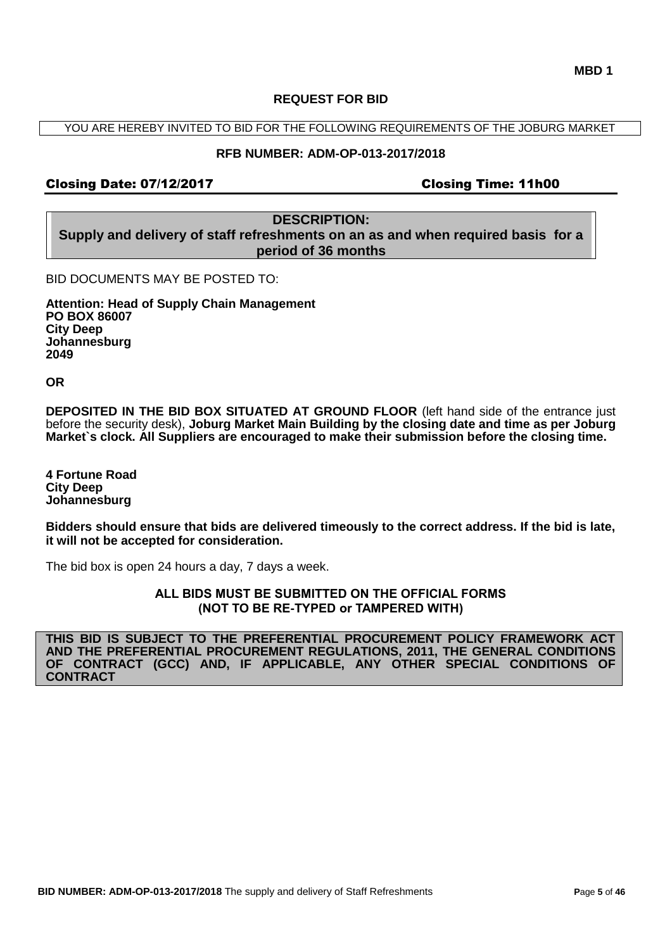#### **REQUEST FOR BID**

YOU ARE HEREBY INVITED TO BID FOR THE FOLLOWING REQUIREMENTS OF THE JOBURG MARKET

#### **RFB NUMBER: ADM-OP-013-2017/2018**

#### Closing Date: 07/12/2017 Closing Time: 11h00

**DESCRIPTION: Supply and delivery of staff refreshments on an as and when required basis for a period of 36 months** 

BID DOCUMENTS MAY BE POSTED TO:

**Attention: Head of Supply Chain Management PO BOX 86007 City Deep Johannesburg 2049**

**OR**

**DEPOSITED IN THE BID BOX SITUATED AT GROUND FLOOR** (left hand side of the entrance just before the security desk), **Joburg Market Main Building by the closing date and time as per Joburg Market`s clock. All Suppliers are encouraged to make their submission before the closing time.**

**4 Fortune Road City Deep Johannesburg** 

**Bidders should ensure that bids are delivered timeously to the correct address. If the bid is late, it will not be accepted for consideration.**

The bid box is open 24 hours a day, 7 days a week.

**ALL BIDS MUST BE SUBMITTED ON THE OFFICIAL FORMS (NOT TO BE RE-TYPED or TAMPERED WITH)**

**THIS BID IS SUBJECT TO THE PREFERENTIAL PROCUREMENT POLICY FRAMEWORK ACT AND THE PREFERENTIAL PROCUREMENT REGULATIONS, 2011, THE GENERAL CONDITIONS OF CONTRACT (GCC) AND, IF APPLICABLE, ANY OTHER SPECIAL CONDITIONS OF CONTRACT**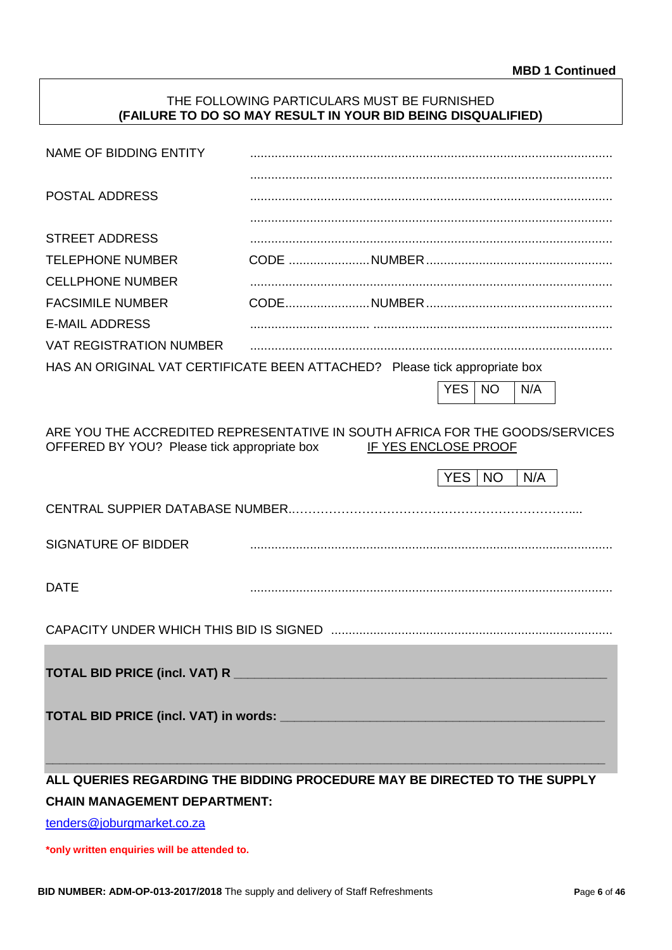#### THE FOLLOWING PARTICULARS MUST BE FURNISHED **(FAILURE TO DO SO MAY RESULT IN YOUR BID BEING DISQUALIFIED)**

| NAME OF BIDDING ENTITY                                                                                                      |  |                      |            |           |     |  |
|-----------------------------------------------------------------------------------------------------------------------------|--|----------------------|------------|-----------|-----|--|
| <b>POSTAL ADDRESS</b>                                                                                                       |  |                      |            |           |     |  |
|                                                                                                                             |  |                      |            |           |     |  |
| <b>STREET ADDRESS</b>                                                                                                       |  |                      |            |           |     |  |
| <b>TELEPHONE NUMBER</b>                                                                                                     |  |                      |            |           |     |  |
| <b>CELLPHONE NUMBER</b>                                                                                                     |  |                      |            |           |     |  |
| <b>FACSIMILE NUMBER</b>                                                                                                     |  |                      |            |           |     |  |
| <b>E-MAIL ADDRESS</b>                                                                                                       |  |                      |            |           |     |  |
| <b>VAT REGISTRATION NUMBER</b>                                                                                              |  |                      |            |           |     |  |
| HAS AN ORIGINAL VAT CERTIFICATE BEEN ATTACHED? Please tick appropriate box                                                  |  |                      |            |           |     |  |
|                                                                                                                             |  |                      | <b>YES</b> | <b>NO</b> | N/A |  |
|                                                                                                                             |  |                      |            |           |     |  |
| ARE YOU THE ACCREDITED REPRESENTATIVE IN SOUTH AFRICA FOR THE GOODS/SERVICES<br>OFFERED BY YOU? Please tick appropriate box |  | IF YES ENCLOSE PROOF |            |           |     |  |
|                                                                                                                             |  |                      | YES   NO   |           | N/A |  |
| CENTRAL SUPPIER DATABASE NUMBER                                                                                             |  |                      |            |           |     |  |
| <b>SIGNATURE OF BIDDER</b>                                                                                                  |  |                      |            |           |     |  |
| <b>DATE</b>                                                                                                                 |  |                      |            |           |     |  |
|                                                                                                                             |  |                      |            |           |     |  |
|                                                                                                                             |  |                      |            |           |     |  |
|                                                                                                                             |  |                      |            |           |     |  |
|                                                                                                                             |  |                      |            |           |     |  |
|                                                                                                                             |  |                      |            |           |     |  |
| ALL QUERIES REGARDING THE BIDDING PROCEDURE MAY BE DIRECTED TO THE SUPPLY                                                   |  |                      |            |           |     |  |
| <b>CHAIN MANAGEMENT DEPARTMENT:</b>                                                                                         |  |                      |            |           |     |  |

[tenders@joburgmarket.co.za](mailto:tenders@joburgmarket.co.za)

**\*only written enquiries will be attended to.**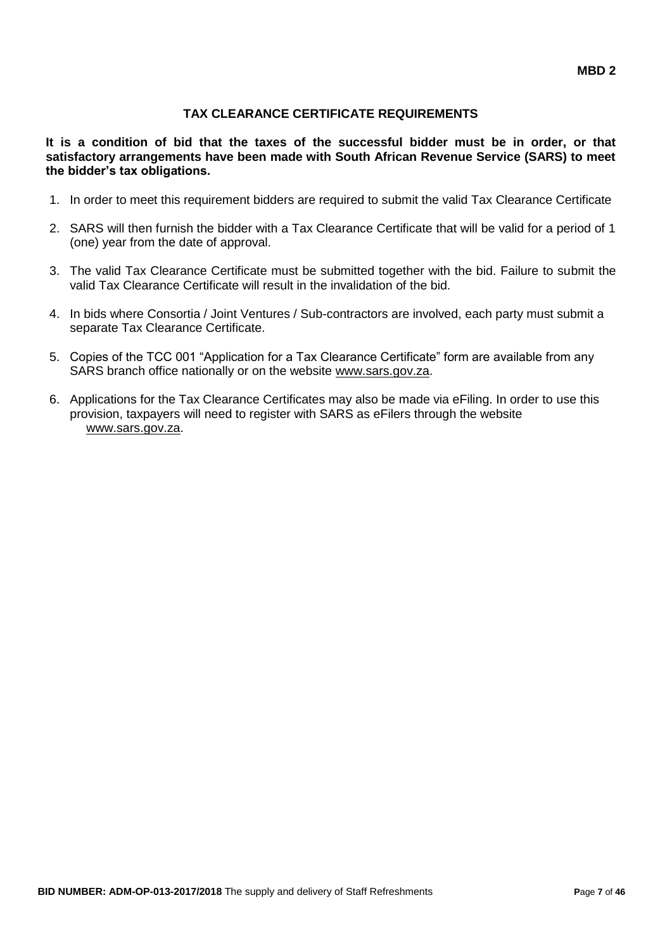# **TAX CLEARANCE CERTIFICATE REQUIREMENTS**

**It is a condition of bid that the taxes of the successful bidder must be in order, or that satisfactory arrangements have been made with South African Revenue Service (SARS) to meet the bidder's tax obligations.**

- 1. In order to meet this requirement bidders are required to submit the valid Tax Clearance Certificate
- 2. SARS will then furnish the bidder with a Tax Clearance Certificate that will be valid for a period of 1 (one) year from the date of approval.
- 3. The valid Tax Clearance Certificate must be submitted together with the bid. Failure to submit the valid Tax Clearance Certificate will result in the invalidation of the bid.
- 4. In bids where Consortia / Joint Ventures / Sub-contractors are involved, each party must submit a separate Tax Clearance Certificate.
- 5. Copies of the TCC 001 "Application for a Tax Clearance Certificate" form are available from any SARS branch office nationally or on the website [www.sars.gov.za.](http://www.sars.gov.za/)
- 6. Applications for the Tax Clearance Certificates may also be made via eFiling. In order to use this provision, taxpayers will need to register with SARS as eFilers through the website [www.sars.gov.za.](http://www.sars.gov.za/)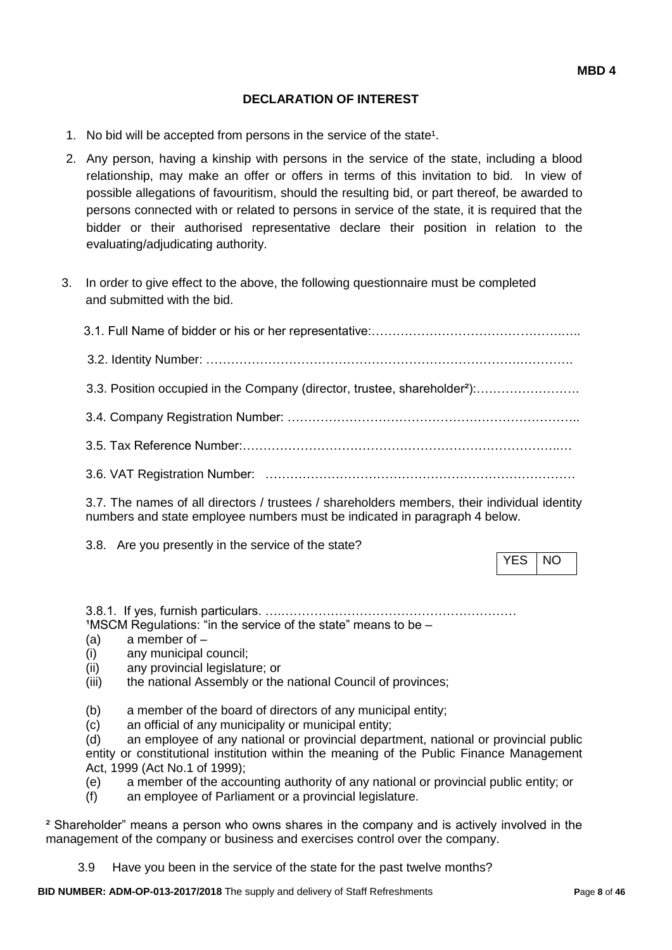#### **DECLARATION OF INTEREST**

- 1. No bid will be accepted from persons in the service of the state<sup>1</sup>.
- 2. Any person, having a kinship with persons in the service of the state, including a blood relationship, may make an offer or offers in terms of this invitation to bid. In view of possible allegations of favouritism, should the resulting bid, or part thereof, be awarded to persons connected with or related to persons in service of the state, it is required that the bidder or their authorised representative declare their position in relation to the evaluating/adjudicating authority.
- 3. In order to give effect to the above, the following questionnaire must be completed and submitted with the bid.

| 3.3. Position occupied in the Company (director, trustee, shareholder <sup>2</sup> ):    |
|------------------------------------------------------------------------------------------|
|                                                                                          |
|                                                                                          |
|                                                                                          |
| 2.7 The nomes of all directors (trustees) aborahalders members their individual identity |

3.7. The names of all directors / trustees / shareholders members, their individual identity numbers and state employee numbers must be indicated in paragraph 4 below.

3.8. Are you presently in the service of the state?

YES INO

3.8.1. If yes, furnish particulars. ….…………………………………………………  $1$ MSCM Regulations: "in the service of the state" means to be  $-$ 

- (a) a member of –
- (i) any municipal council;
- (ii) any provincial legislature; or
- (iii) the national Assembly or the national Council of provinces;
- (b) a member of the board of directors of any municipal entity;
- (c) an official of any municipality or municipal entity;

(d) an employee of any national or provincial department, national or provincial public entity or constitutional institution within the meaning of the Public Finance Management Act, 1999 (Act No.1 of 1999);

- (e) a member of the accounting authority of any national or provincial public entity; or
- (f) an employee of Parliament or a provincial legislature.

² Shareholder" means a person who owns shares in the company and is actively involved in the management of the company or business and exercises control over the company.

3.9 Have you been in the service of the state for the past twelve months?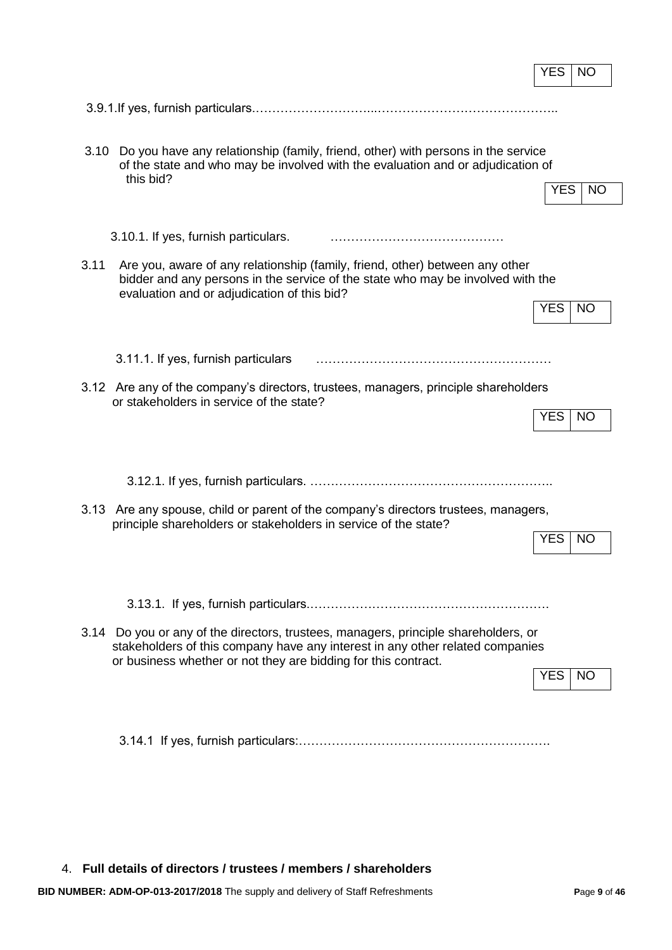|                                                                                                                                                                                                                                        | YES        | NO        |
|----------------------------------------------------------------------------------------------------------------------------------------------------------------------------------------------------------------------------------------|------------|-----------|
|                                                                                                                                                                                                                                        |            |           |
| 3.10<br>Do you have any relationship (family, friend, other) with persons in the service<br>of the state and who may be involved with the evaluation and or adjudication of<br>this bid?                                               | <b>YES</b> | NO        |
| 3.10.1. If yes, furnish particulars.                                                                                                                                                                                                   |            |           |
| 3.11<br>Are you, aware of any relationship (family, friend, other) between any other<br>bidder and any persons in the service of the state who may be involved with the<br>evaluation and or adjudication of this bid?                 | <b>YES</b> | NO        |
| 3.11.1. If yes, furnish particulars                                                                                                                                                                                                    |            |           |
| 3.12 Are any of the company's directors, trustees, managers, principle shareholders<br>or stakeholders in service of the state?                                                                                                        | <b>YES</b> | NO        |
|                                                                                                                                                                                                                                        |            |           |
| Are any spouse, child or parent of the company's directors trustees, managers,<br>3.13<br>principle shareholders or stakeholders in service of the state?                                                                              | <b>YES</b> | NO        |
|                                                                                                                                                                                                                                        |            |           |
| 3.14 Do you or any of the directors, trustees, managers, principle shareholders, or<br>stakeholders of this company have any interest in any other related companies<br>or business whether or not they are bidding for this contract. | YES.       | <b>NO</b> |
|                                                                                                                                                                                                                                        |            |           |

4. **Full details of directors / trustees / members / shareholders**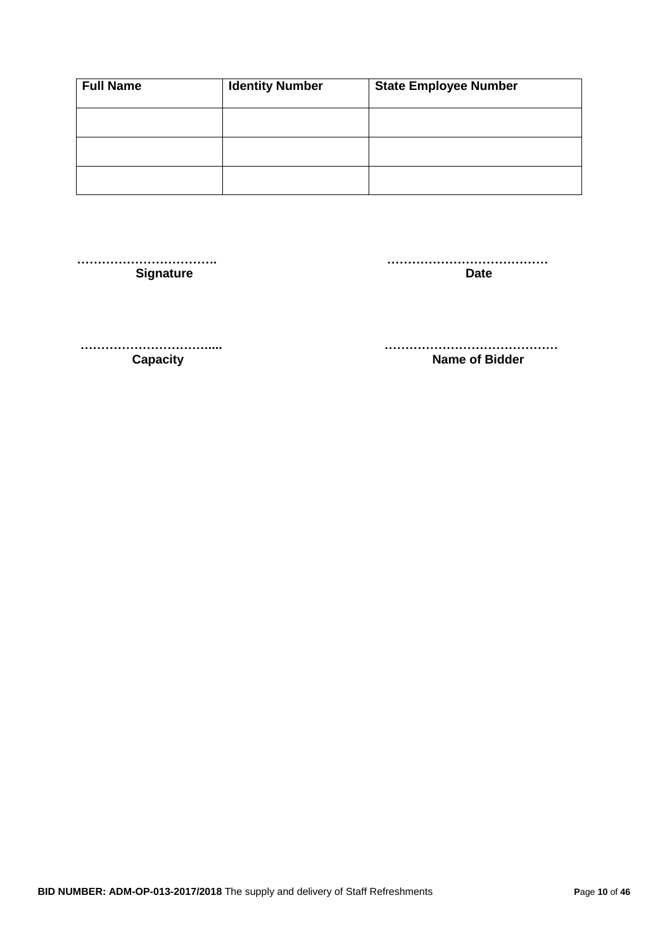| <b>Full Name</b> | <b>Identity Number</b> | <b>State Employee Number</b> |
|------------------|------------------------|------------------------------|
|                  |                        |                              |
|                  |                        |                              |
|                  |                        |                              |

 **……………………………. …………………………………** Signature **Date** 

 **…………………………..... …………………………………… Capacity Capacity Capacity Capacity Name of Bidder**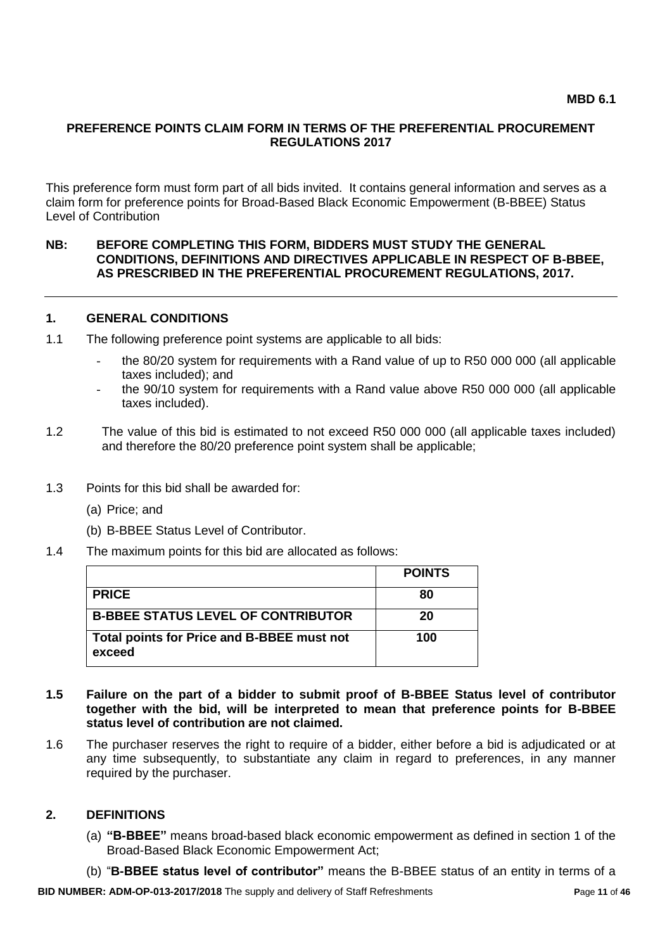#### **PREFERENCE POINTS CLAIM FORM IN TERMS OF THE PREFERENTIAL PROCUREMENT REGULATIONS 2017**

This preference form must form part of all bids invited. It contains general information and serves as a claim form for preference points for Broad-Based Black Economic Empowerment (B-BBEE) Status Level of Contribution

#### **NB: BEFORE COMPLETING THIS FORM, BIDDERS MUST STUDY THE GENERAL CONDITIONS, DEFINITIONS AND DIRECTIVES APPLICABLE IN RESPECT OF B-BBEE, AS PRESCRIBED IN THE PREFERENTIAL PROCUREMENT REGULATIONS, 2017.**

#### **1. GENERAL CONDITIONS**

- 1.1 The following preference point systems are applicable to all bids:
	- the 80/20 system for requirements with a Rand value of up to R50 000 000 (all applicable taxes included); and
	- the 90/10 system for requirements with a Rand value above R50 000 000 (all applicable taxes included).
- 1.2 The value of this bid is estimated to not exceed R50 000 000 (all applicable taxes included) and therefore the 80/20 preference point system shall be applicable;
- 1.3 Points for this bid shall be awarded for:
	- (a) Price; and
	- (b) B-BBEE Status Level of Contributor.
- 1.4 The maximum points for this bid are allocated as follows:

|                                                      | <b>POINTS</b> |
|------------------------------------------------------|---------------|
| <b>PRICE</b>                                         | 80            |
| <b>B-BBEE STATUS LEVEL OF CONTRIBUTOR</b>            | 20            |
| Total points for Price and B-BBEE must not<br>exceed | 100           |

- **1.5 Failure on the part of a bidder to submit proof of B-BBEE Status level of contributor together with the bid, will be interpreted to mean that preference points for B-BBEE status level of contribution are not claimed.**
- 1.6 The purchaser reserves the right to require of a bidder, either before a bid is adjudicated or at any time subsequently, to substantiate any claim in regard to preferences, in any manner required by the purchaser.

#### **2. DEFINITIONS**

- (a) **"B-BBEE"** means broad-based black economic empowerment as defined in section 1 of the Broad-Based Black Economic Empowerment Act;
- (b) "**B-BBEE status level of contributor"** means the B-BBEE status of an entity in terms of a

**BID NUMBER: ADM-OP-013-2017/2018** The supply and delivery of Staff Refreshments **P**age **11** of **46**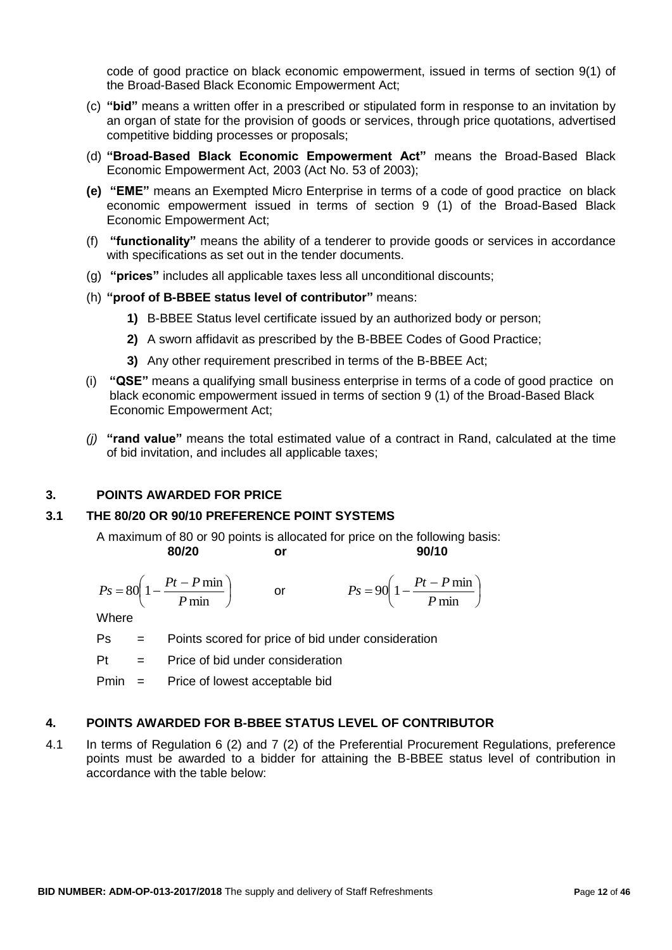code of good practice on black economic empowerment, issued in terms of section 9(1) of the Broad-Based Black Economic Empowerment Act;

- (c) **"bid"** means a written offer in a prescribed or stipulated form in response to an invitation by an organ of state for the provision of goods or services, through price quotations, advertised competitive bidding processes or proposals;
- (d) **"Broad-Based Black Economic Empowerment Act"** means the Broad-Based Black Economic Empowerment Act, 2003 (Act No. 53 of 2003);
- **(e) "EME"** means an Exempted Micro Enterprise in terms of a code of good practice on black economic empowerment issued in terms of section 9 (1) of the Broad-Based Black Economic Empowerment Act;
- (f) **"functionality"** means the ability of a tenderer to provide goods or services in accordance with specifications as set out in the tender documents.
- (g) **"prices"** includes all applicable taxes less all unconditional discounts;
- (h) **"proof of B-BBEE status level of contributor"** means:
	- **1)** B-BBEE Status level certificate issued by an authorized body or person;
	- **2)** A sworn affidavit as prescribed by the B-BBEE Codes of Good Practice;
	- **3)** Any other requirement prescribed in terms of the B-BBEE Act;
- (i) **"QSE"** means a qualifying small business enterprise in terms of a code of good practice on black economic empowerment issued in terms of section 9 (1) of the Broad-Based Black Economic Empowerment Act;
- *(j)* **"rand value"** means the total estimated value of a contract in Rand, calculated at the time of bid invitation, and includes all applicable taxes;

#### **3. POINTS AWARDED FOR PRICE**

# **3.1 THE 80/20 OR 90/10 PREFERENCE POINT SYSTEMS**

A maximum of 80 or 90 points is allocated for price on the following basis: **80/20 or 90/10**

$$
Ps = 80\left(1 - \frac{Pt - P \min}{P \min}\right) \qquad \text{or} \qquad \qquad Ps = 90\left(1 - \frac{Pt - P \min}{P \min}\right)
$$

**Where** 

- Ps = Points scored for price of bid under consideration
- $Pt =$  Price of bid under consideration

Pmin = Price of lowest acceptable bid

#### **4. POINTS AWARDED FOR B-BBEE STATUS LEVEL OF CONTRIBUTOR**

4.1 In terms of Regulation 6 (2) and 7 (2) of the Preferential Procurement Regulations, preference points must be awarded to a bidder for attaining the B-BBEE status level of contribution in accordance with the table below: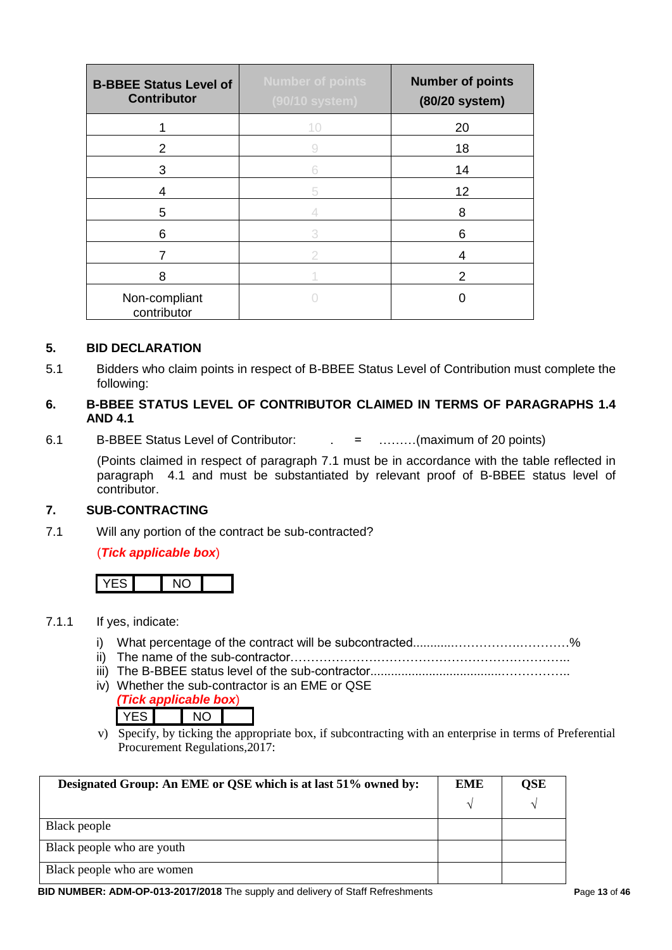| <b>B-BBEE Status Level of</b><br><b>Contributor</b> | <b>Number of points</b><br>(90/10 system) | <b>Number of points</b><br>(80/20 system) |
|-----------------------------------------------------|-------------------------------------------|-------------------------------------------|
|                                                     | 10                                        | 20                                        |
| 2                                                   |                                           | 18                                        |
| 3                                                   | 6                                         | 14                                        |
| 4                                                   | 5                                         | 12                                        |
| 5                                                   |                                           | 8                                         |
| 6                                                   | 3                                         | 6                                         |
| 7                                                   | 2                                         | 4                                         |
| 8                                                   |                                           | 2                                         |
| Non-compliant<br>contributor                        |                                           |                                           |

#### **5. BID DECLARATION**

5.1 Bidders who claim points in respect of B-BBEE Status Level of Contribution must complete the following:

#### **6. B-BBEE STATUS LEVEL OF CONTRIBUTOR CLAIMED IN TERMS OF PARAGRAPHS 1.4 AND 4.1**

6.1 B-BBEE Status Level of Contributor: . = ………(maximum of 20 points)

(Points claimed in respect of paragraph 7.1 must be in accordance with the table reflected in paragraph 4.1 and must be substantiated by relevant proof of B-BBEE status level of contributor.

### **7. SUB-CONTRACTING**

7.1 Will any portion of the contract be sub-contracted?

#### (*Tick applicable box*)



#### 7.1.1 If yes, indicate:

- i) What percentage of the contract will be subcontracted............…………….…………%
- ii) The name of the sub-contractor…………………………………………………………..
- iii) The B-BBEE status level of the sub-contractor......................................……………..
- iv) Whether the sub-contractor is an EME or QSE
	- *(Tick applicable box*) YES NO
- v) Specify, by ticking the appropriate box, if subcontracting with an enterprise in terms of Preferential Procurement Regulations,2017:

| Designated Group: An EME or QSE which is at last 51% owned by: |  | OSE |
|----------------------------------------------------------------|--|-----|
|                                                                |  |     |
| Black people                                                   |  |     |
| Black people who are youth                                     |  |     |
| Black people who are women                                     |  |     |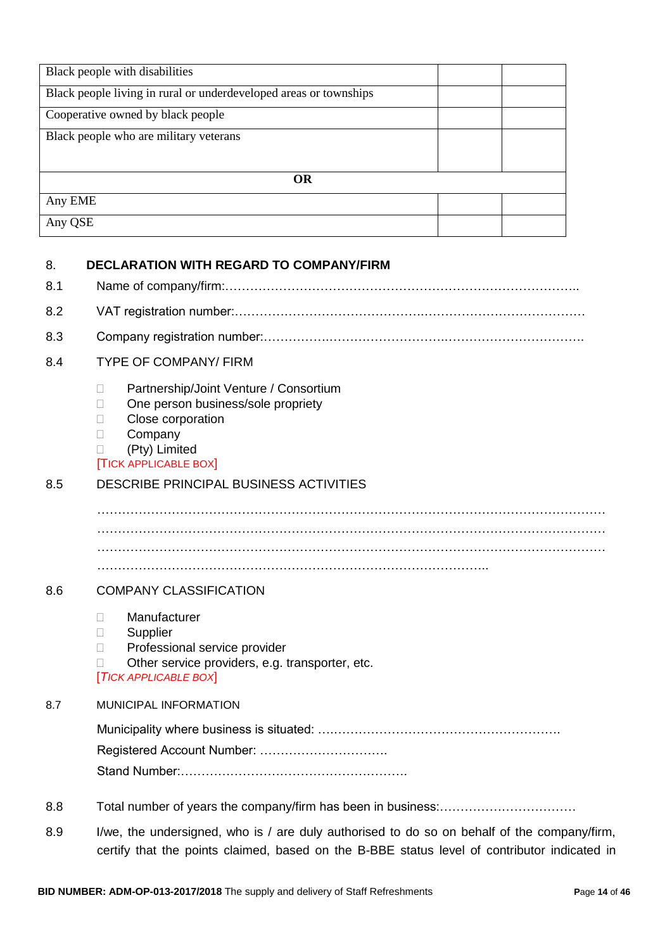| Black people with disabilities                                    |  |  |
|-------------------------------------------------------------------|--|--|
| Black people living in rural or underdeveloped areas or townships |  |  |
| Cooperative owned by black people                                 |  |  |
| Black people who are military veterans                            |  |  |
|                                                                   |  |  |
| <b>OR</b>                                                         |  |  |
| Any EME                                                           |  |  |
| Any QSE                                                           |  |  |

# 8. **DECLARATION WITH REGARD TO COMPANY/FIRM** 8.1 Name of company/firm:………………………………………………………………………….. 8.2 VAT registration number:……………………………………….………………………………… 8.3 Company registration number:…………….……………………….……………………………. 8.4 TYPE OF COMPANY/ FIRM D Partnership/Joint Venture / Consortium □ One person business/sole propriety D Close corporation D Company (Pty) Limited [TICK APPLICABLE BOX] 8.5 DESCRIBE PRINCIPAL BUSINESS ACTIVITIES  $\mathcal{L}^{\text{max}}$ …………………………………………………………………………………………………………… …………………………………………………………………………………………………………… ………………………………………………………………………………….. 8.6 COMPANY CLASSIFICATION Manufacturer **Supplier** D Professional service provider  $\Box$  Other service providers, e.g. transporter, etc. [*TICK APPLICABLE BOX*] 8.7 MUNICIPAL INFORMATION Municipality where business is situated: ….………………………………………………. Registered Account Number: …………………………. Stand Number:………………………………………………. 8.8 Total number of years the company/firm has been in business:……………………………

8.9 I/we, the undersigned, who is / are duly authorised to do so on behalf of the company/firm, certify that the points claimed, based on the B-BBE status level of contributor indicated in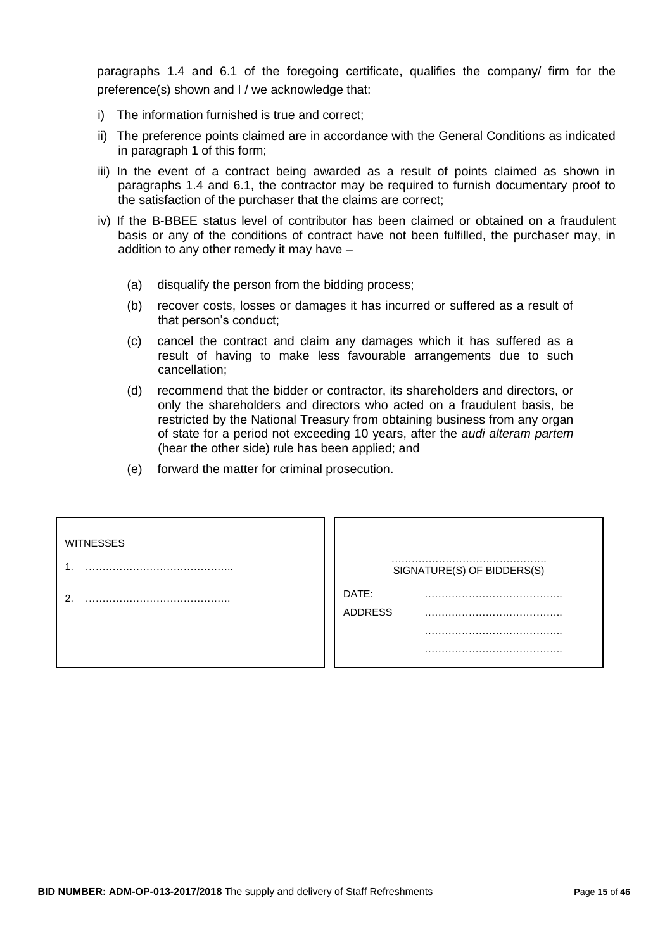paragraphs 1.4 and 6.1 of the foregoing certificate, qualifies the company/ firm for the preference(s) shown and I / we acknowledge that:

- i) The information furnished is true and correct;
- ii) The preference points claimed are in accordance with the General Conditions as indicated in paragraph 1 of this form;
- iii) In the event of a contract being awarded as a result of points claimed as shown in paragraphs 1.4 and 6.1, the contractor may be required to furnish documentary proof to the satisfaction of the purchaser that the claims are correct;
- iv) If the B-BBEE status level of contributor has been claimed or obtained on a fraudulent basis or any of the conditions of contract have not been fulfilled, the purchaser may, in addition to any other remedy it may have –
	- (a) disqualify the person from the bidding process;
	- (b) recover costs, losses or damages it has incurred or suffered as a result of that person's conduct;
	- (c) cancel the contract and claim any damages which it has suffered as a result of having to make less favourable arrangements due to such cancellation;
	- (d) recommend that the bidder or contractor, its shareholders and directors, or only the shareholders and directors who acted on a fraudulent basis, be restricted by the National Treasury from obtaining business from any organ of state for a period not exceeding 10 years, after the *audi alteram partem* (hear the other side) rule has been applied; and
	- (e) forward the matter for criminal prosecution.

| <b>WITNESSES</b> |                            |
|------------------|----------------------------|
|                  | SIGNATURE(S) OF BIDDERS(S) |
| ົ                | DATE:<br><b>ADDRESS</b>    |
|                  |                            |
|                  |                            |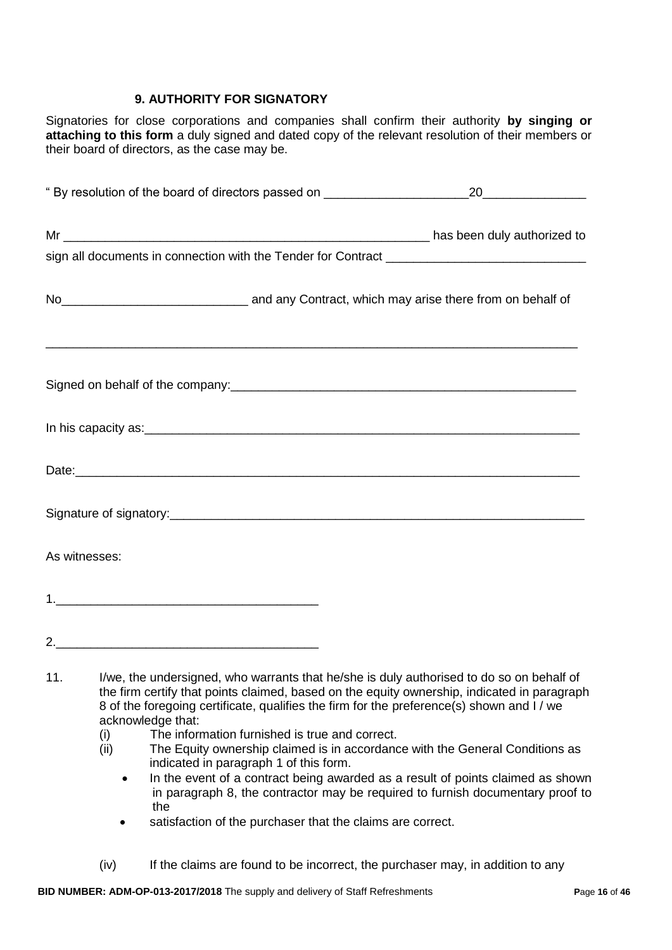### **9. AUTHORITY FOR SIGNATORY**

Signatories for close corporations and companies shall confirm their authority **by singing or attaching to this form** a duly signed and dated copy of the relevant resolution of their members or their board of directors, as the case may be.

|     | " By resolution of the board of directors passed on ____________________________                                                                                                                                                                                                                                                                                                                                                                        |  |
|-----|---------------------------------------------------------------------------------------------------------------------------------------------------------------------------------------------------------------------------------------------------------------------------------------------------------------------------------------------------------------------------------------------------------------------------------------------------------|--|
|     |                                                                                                                                                                                                                                                                                                                                                                                                                                                         |  |
|     |                                                                                                                                                                                                                                                                                                                                                                                                                                                         |  |
|     | No <sub>_________________________________</sub> and any Contract, which may arise there from on behalf of                                                                                                                                                                                                                                                                                                                                               |  |
|     |                                                                                                                                                                                                                                                                                                                                                                                                                                                         |  |
|     |                                                                                                                                                                                                                                                                                                                                                                                                                                                         |  |
|     | Date: https://www.archive.com/discrete and and analysis of the contract of the contract of the contract of the                                                                                                                                                                                                                                                                                                                                          |  |
|     |                                                                                                                                                                                                                                                                                                                                                                                                                                                         |  |
|     | As witnesses:                                                                                                                                                                                                                                                                                                                                                                                                                                           |  |
|     |                                                                                                                                                                                                                                                                                                                                                                                                                                                         |  |
|     |                                                                                                                                                                                                                                                                                                                                                                                                                                                         |  |
| 11. | I/we, the undersigned, who warrants that he/she is duly authorised to do so on behalf of<br>the firm certify that points claimed, based on the equity ownership, indicated in paragraph<br>8 of the foregoing certificate, qualifies the firm for the preference(s) shown and I / we<br>acknowledge that:<br>The information furnished is true and correct.<br>(i)<br>(ii) The Faulty ownership claimed is in accordance with the General Conditions as |  |

- (ii) The Equity ownership claimed is in accordance with the General Conditions as indicated in paragraph 1 of this form.
	- In the event of a contract being awarded as a result of points claimed as shown in paragraph 8, the contractor may be required to furnish documentary proof to the
	- satisfaction of the purchaser that the claims are correct.
- (iv) If the claims are found to be incorrect, the purchaser may, in addition to any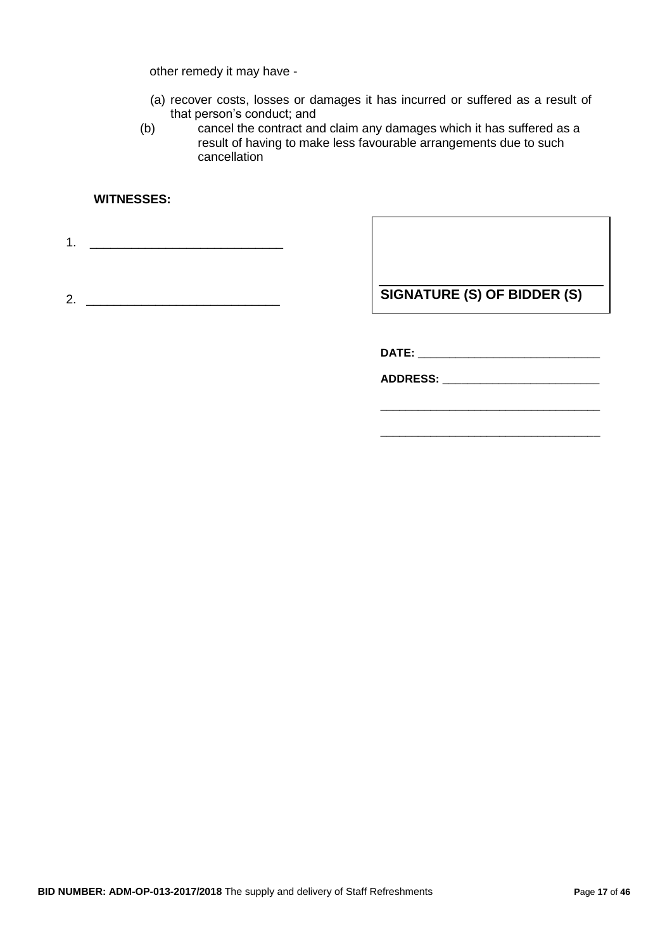other remedy it may have -

- (a) recover costs, losses or damages it has incurred or suffered as a result of that person's conduct; and
- (b) cancel the contract and claim any damages which it has suffered as a result of having to make less favourable arrangements due to such cancellation

### **WITNESSES:**

1. \_\_\_\_\_\_\_\_\_\_\_\_\_\_\_\_\_\_\_\_\_\_\_\_\_\_\_\_

2. \_\_\_\_\_\_\_\_\_\_\_\_\_\_\_\_\_\_\_\_\_\_\_\_\_\_\_\_

**SIGNATURE (S) OF BIDDER (S)**

\_\_\_\_\_\_\_\_\_\_\_\_\_\_\_\_\_\_\_\_\_\_\_\_\_\_\_\_\_\_\_\_\_\_\_

\_\_\_\_\_\_\_\_\_\_\_\_\_\_\_\_\_\_\_\_\_\_\_\_\_\_\_\_\_\_\_\_\_\_\_

**DATE: \_\_\_\_\_\_\_\_\_\_\_\_\_\_\_\_\_\_\_\_\_\_\_\_\_\_\_\_\_**

**ADDRESS: \_\_\_\_\_\_\_\_\_\_\_\_\_\_\_\_\_\_\_\_\_\_\_\_\_**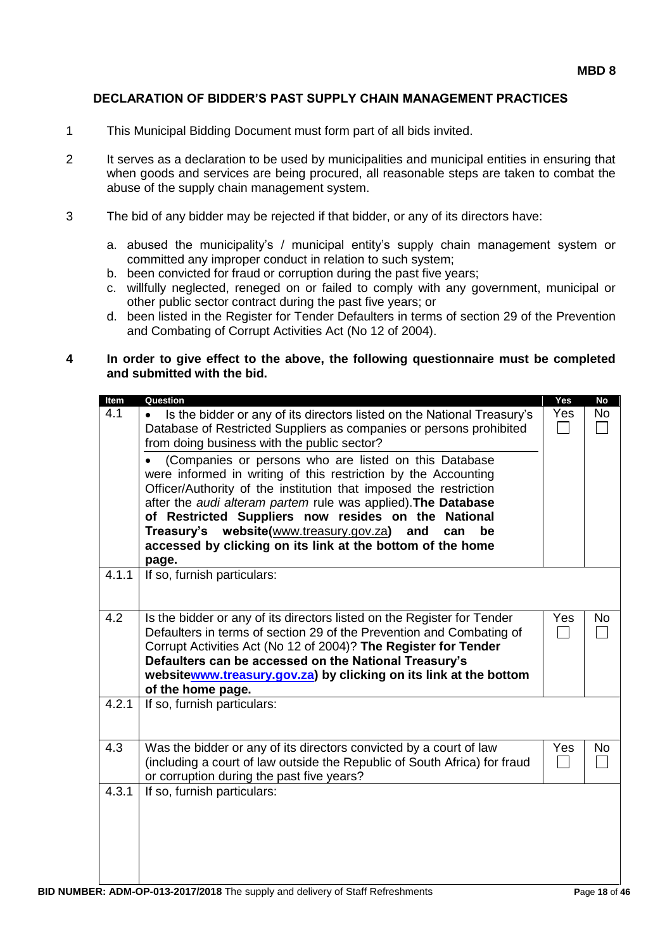#### **DECLARATION OF BIDDER'S PAST SUPPLY CHAIN MANAGEMENT PRACTICES**

- 1 This Municipal Bidding Document must form part of all bids invited.
- 2 It serves as a declaration to be used by municipalities and municipal entities in ensuring that when goods and services are being procured, all reasonable steps are taken to combat the abuse of the supply chain management system.
- 3 The bid of any bidder may be rejected if that bidder, or any of its directors have:
	- a. abused the municipality's / municipal entity's supply chain management system or committed any improper conduct in relation to such system;
	- b. been convicted for fraud or corruption during the past five years;
	- c. willfully neglected, reneged on or failed to comply with any government, municipal or other public sector contract during the past five years; or
	- d. been listed in the Register for Tender Defaulters in terms of section 29 of the Prevention and Combating of Corrupt Activities Act (No 12 of 2004).

#### **4 In order to give effect to the above, the following questionnaire must be completed and submitted with the bid.**

| Item  | Question                                                                                                                                                                                                                                                                                                                                                              | Yes | <b>No</b> |
|-------|-----------------------------------------------------------------------------------------------------------------------------------------------------------------------------------------------------------------------------------------------------------------------------------------------------------------------------------------------------------------------|-----|-----------|
| 4.1   | Is the bidder or any of its directors listed on the National Treasury's<br>Database of Restricted Suppliers as companies or persons prohibited<br>from doing business with the public sector?                                                                                                                                                                         | Yes | <b>No</b> |
|       | (Companies or persons who are listed on this Database<br>were informed in writing of this restriction by the Accounting<br>Officer/Authority of the institution that imposed the restriction<br>after the audi alteram partem rule was applied). The Database                                                                                                         |     |           |
|       | of Restricted Suppliers now resides on the National<br>Treasury's website(www.treasury.gov.za)<br>and<br>can<br>be<br>accessed by clicking on its link at the bottom of the home<br>page.                                                                                                                                                                             |     |           |
| 4.1.1 | If so, furnish particulars:                                                                                                                                                                                                                                                                                                                                           |     |           |
| 4.2   | Is the bidder or any of its directors listed on the Register for Tender<br>Defaulters in terms of section 29 of the Prevention and Combating of<br>Corrupt Activities Act (No 12 of 2004)? The Register for Tender<br>Defaulters can be accessed on the National Treasury's<br>websitewww.treasury.gov.za) by clicking on its link at the bottom<br>of the home page. | Yes | No        |
| 4.2.1 | If so, furnish particulars:                                                                                                                                                                                                                                                                                                                                           |     |           |
| 4.3   | Was the bidder or any of its directors convicted by a court of law<br>(including a court of law outside the Republic of South Africa) for fraud<br>or corruption during the past five years?                                                                                                                                                                          | Yes | No        |
| 4.3.1 | If so, furnish particulars:                                                                                                                                                                                                                                                                                                                                           |     |           |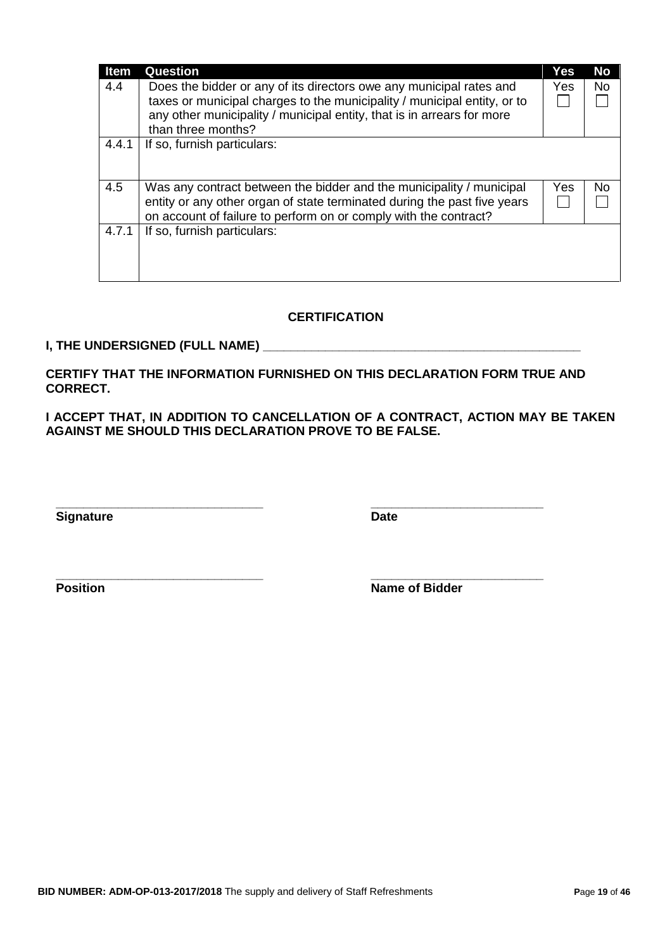| <b>Item</b> | Question                                                                                                                                                                                                             | Yes | <b>No</b> |
|-------------|----------------------------------------------------------------------------------------------------------------------------------------------------------------------------------------------------------------------|-----|-----------|
| 4.4         | Does the bidder or any of its directors owe any municipal rates and<br>taxes or municipal charges to the municipality / municipal entity, or to                                                                      | Yes | No.       |
|             | any other municipality / municipal entity, that is in arrears for more<br>than three months?                                                                                                                         |     |           |
| 4.4.1       | If so, furnish particulars:                                                                                                                                                                                          |     |           |
| 4.5         | Was any contract between the bidder and the municipality / municipal<br>entity or any other organ of state terminated during the past five years<br>on account of failure to perform on or comply with the contract? | Yes | No.       |
| 4.7.1       | If so, furnish particulars:                                                                                                                                                                                          |     |           |

### **CERTIFICATION**

#### **I, THE UNDERSIGNED (FULL NAME) \_\_\_\_\_\_\_\_\_\_\_\_\_\_\_\_\_\_\_\_\_\_\_\_\_\_\_\_\_\_\_\_\_\_\_\_\_\_\_\_\_\_\_\_\_\_**

**CERTIFY THAT THE INFORMATION FURNISHED ON THIS DECLARATION FORM TRUE AND CORRECT.**

**\_\_\_\_\_\_\_\_\_\_\_\_\_\_\_\_\_\_\_\_\_\_\_\_\_\_\_\_\_\_ \_\_\_\_\_\_\_\_\_\_\_\_\_\_\_\_\_\_\_\_\_\_\_\_\_**

**\_\_\_\_\_\_\_\_\_\_\_\_\_\_\_\_\_\_\_\_\_\_\_\_\_\_\_\_\_\_ \_\_\_\_\_\_\_\_\_\_\_\_\_\_\_\_\_\_\_\_\_\_\_\_\_**

**I ACCEPT THAT, IN ADDITION TO CANCELLATION OF A CONTRACT, ACTION MAY BE TAKEN AGAINST ME SHOULD THIS DECLARATION PROVE TO BE FALSE.**

**Signature Date** 

**Position Name of Bidder**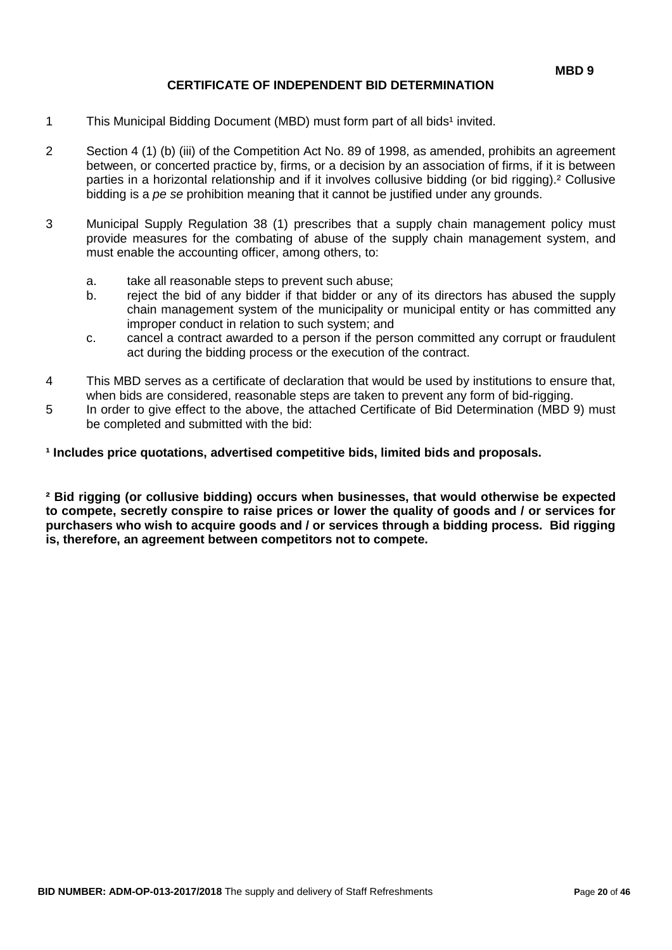### **CERTIFICATE OF INDEPENDENT BID DETERMINATION**

- 1 This Municipal Bidding Document (MBD) must form part of all bids<sup>1</sup> invited.
- 2 Section 4 (1) (b) (iii) of the Competition Act No. 89 of 1998, as amended, prohibits an agreement between, or concerted practice by, firms, or a decision by an association of firms, if it is between parties in a horizontal relationship and if it involves collusive bidding (or bid rigging).² Collusive bidding is a *pe se* prohibition meaning that it cannot be justified under any grounds.
- 3 Municipal Supply Regulation 38 (1) prescribes that a supply chain management policy must provide measures for the combating of abuse of the supply chain management system, and must enable the accounting officer, among others, to:
	- a. take all reasonable steps to prevent such abuse;
	- b. reject the bid of any bidder if that bidder or any of its directors has abused the supply chain management system of the municipality or municipal entity or has committed any improper conduct in relation to such system; and
	- c. cancel a contract awarded to a person if the person committed any corrupt or fraudulent act during the bidding process or the execution of the contract.
- 4 This MBD serves as a certificate of declaration that would be used by institutions to ensure that, when bids are considered, reasonable steps are taken to prevent any form of bid-rigging.
- 5 In order to give effect to the above, the attached Certificate of Bid Determination (MBD 9) must be completed and submitted with the bid:

**¹ Includes price quotations, advertised competitive bids, limited bids and proposals.**

**² Bid rigging (or collusive bidding) occurs when businesses, that would otherwise be expected to compete, secretly conspire to raise prices or lower the quality of goods and / or services for purchasers who wish to acquire goods and / or services through a bidding process. Bid rigging is, therefore, an agreement between competitors not to compete.**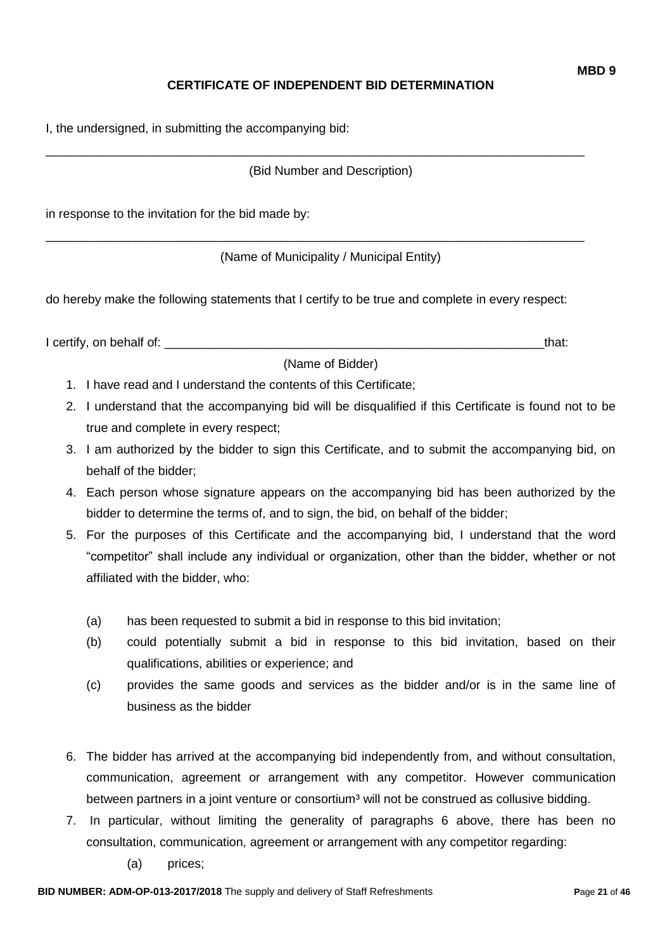# **CERTIFICATE OF INDEPENDENT BID DETERMINATION**

(Bid Number and Description)

\_\_\_\_\_\_\_\_\_\_\_\_\_\_\_\_\_\_\_\_\_\_\_\_\_\_\_\_\_\_\_\_\_\_\_\_\_\_\_\_\_\_\_\_\_\_\_\_\_\_\_\_\_\_\_\_\_\_\_\_\_\_\_\_\_\_\_\_\_\_\_\_\_\_\_\_\_\_

\_\_\_\_\_\_\_\_\_\_\_\_\_\_\_\_\_\_\_\_\_\_\_\_\_\_\_\_\_\_\_\_\_\_\_\_\_\_\_\_\_\_\_\_\_\_\_\_\_\_\_\_\_\_\_\_\_\_\_\_\_\_\_\_\_\_\_\_\_\_\_\_\_\_\_\_\_\_

in response to the invitation for the bid made by:

(Name of Municipality / Municipal Entity)

do hereby make the following statements that I certify to be true and complete in every respect:

I certify, on behalf of: the state of the state of the state of the state of the state of the state of the state of the state of the state of the state of the state of the state of the state of the state of the state of th

(Name of Bidder)

- 1. I have read and I understand the contents of this Certificate;
- 2. I understand that the accompanying bid will be disqualified if this Certificate is found not to be true and complete in every respect;
- 3. I am authorized by the bidder to sign this Certificate, and to submit the accompanying bid, on behalf of the bidder;
- 4. Each person whose signature appears on the accompanying bid has been authorized by the bidder to determine the terms of, and to sign, the bid, on behalf of the bidder;
- 5. For the purposes of this Certificate and the accompanying bid, I understand that the word "competitor" shall include any individual or organization, other than the bidder, whether or not affiliated with the bidder, who:
	- (a) has been requested to submit a bid in response to this bid invitation;
	- (b) could potentially submit a bid in response to this bid invitation, based on their qualifications, abilities or experience; and
	- (c) provides the same goods and services as the bidder and/or is in the same line of business as the bidder
- 6. The bidder has arrived at the accompanying bid independently from, and without consultation, communication, agreement or arrangement with any competitor. However communication between partners in a joint venture or consortium<sup>3</sup> will not be construed as collusive bidding.
- 7. In particular, without limiting the generality of paragraphs 6 above, there has been no consultation, communication, agreement or arrangement with any competitor regarding:
	- (a) prices;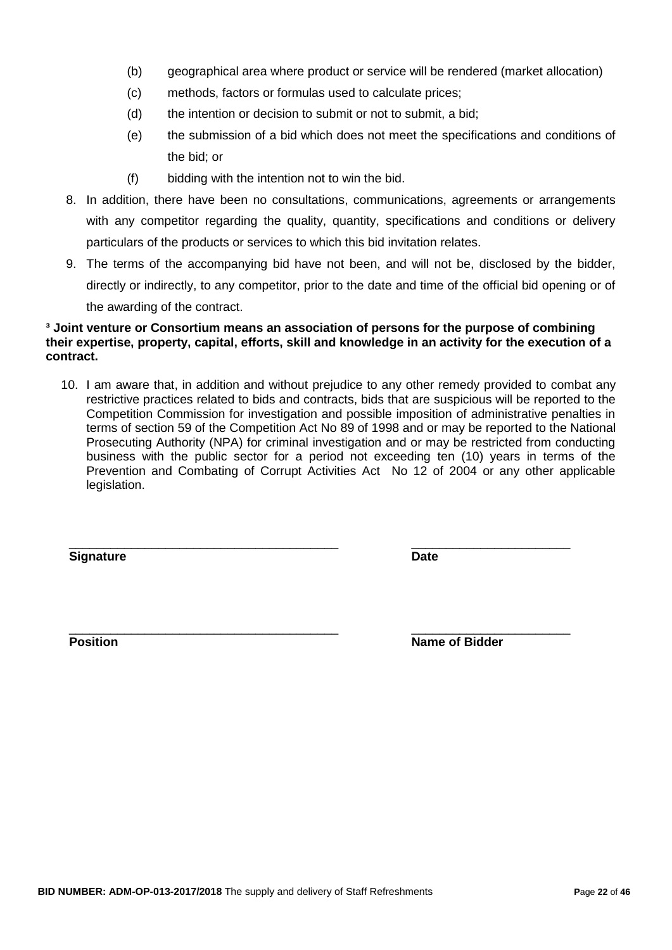- (b) geographical area where product or service will be rendered (market allocation)
- (c) methods, factors or formulas used to calculate prices;
- (d) the intention or decision to submit or not to submit, a bid;
- (e) the submission of a bid which does not meet the specifications and conditions of the bid; or
- (f) bidding with the intention not to win the bid.
- 8. In addition, there have been no consultations, communications, agreements or arrangements with any competitor regarding the quality, quantity, specifications and conditions or delivery particulars of the products or services to which this bid invitation relates.
- 9. The terms of the accompanying bid have not been, and will not be, disclosed by the bidder, directly or indirectly, to any competitor, prior to the date and time of the official bid opening or of the awarding of the contract.

#### **³ Joint venture or Consortium means an association of persons for the purpose of combining their expertise, property, capital, efforts, skill and knowledge in an activity for the execution of a contract.**

10. I am aware that, in addition and without prejudice to any other remedy provided to combat any restrictive practices related to bids and contracts, bids that are suspicious will be reported to the Competition Commission for investigation and possible imposition of administrative penalties in terms of section 59 of the Competition Act No 89 of 1998 and or may be reported to the National Prosecuting Authority (NPA) for criminal investigation and or may be restricted from conducting business with the public sector for a period not exceeding ten (10) years in terms of the Prevention and Combating of Corrupt Activities Act No 12 of 2004 or any other applicable legislation.

\_\_\_\_\_\_\_\_\_\_\_\_\_\_\_\_\_\_\_\_\_\_\_\_\_\_\_\_\_\_\_\_\_\_\_\_\_\_\_ \_\_\_\_\_\_\_\_\_\_\_\_\_\_\_\_\_\_\_\_\_\_\_

**Signature Date**

\_\_\_\_\_\_\_\_\_\_\_\_\_\_\_\_\_\_\_\_\_\_\_\_\_\_\_\_\_\_\_\_\_\_\_\_\_\_\_ \_\_\_\_\_\_\_\_\_\_\_\_\_\_\_\_\_\_\_\_\_\_\_ **Position Position Name of Bidder**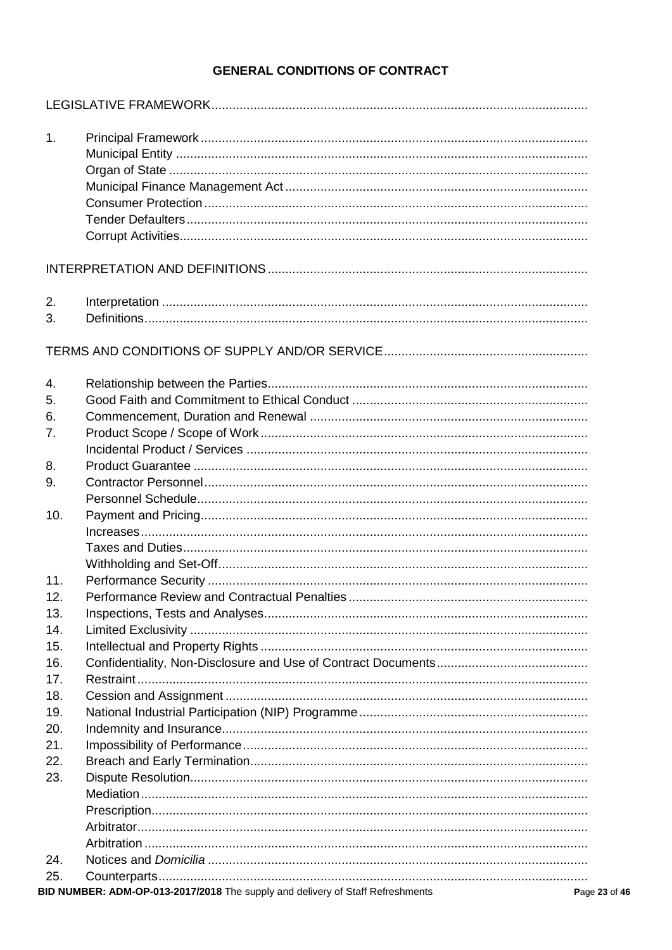# **GENERAL CONDITIONS OF CONTRACT**

| 1.         |                                                                                        |
|------------|----------------------------------------------------------------------------------------|
|            |                                                                                        |
|            |                                                                                        |
|            |                                                                                        |
|            |                                                                                        |
|            |                                                                                        |
|            |                                                                                        |
|            |                                                                                        |
|            |                                                                                        |
| 2.         |                                                                                        |
| 3.         |                                                                                        |
|            |                                                                                        |
|            |                                                                                        |
| 4.         |                                                                                        |
| 5.         |                                                                                        |
| 6.         |                                                                                        |
| 7.         |                                                                                        |
|            |                                                                                        |
| 8.         |                                                                                        |
| 9.         |                                                                                        |
|            |                                                                                        |
| 10.        |                                                                                        |
|            |                                                                                        |
|            |                                                                                        |
|            |                                                                                        |
| 11.        |                                                                                        |
| 12.        |                                                                                        |
| 13.        |                                                                                        |
| 14.        |                                                                                        |
| 15.<br>16. |                                                                                        |
| 17.        |                                                                                        |
| 18.        |                                                                                        |
| 19.        |                                                                                        |
| 20.        |                                                                                        |
| 21.        |                                                                                        |
| 22.        |                                                                                        |
| 23.        |                                                                                        |
|            |                                                                                        |
|            |                                                                                        |
|            |                                                                                        |
|            |                                                                                        |
| 24.        |                                                                                        |
| 25.        |                                                                                        |
|            | BID NUMBER: ADM-OP-013-2017/2018 The supply and delivery of Staff Refreshments<br>Page |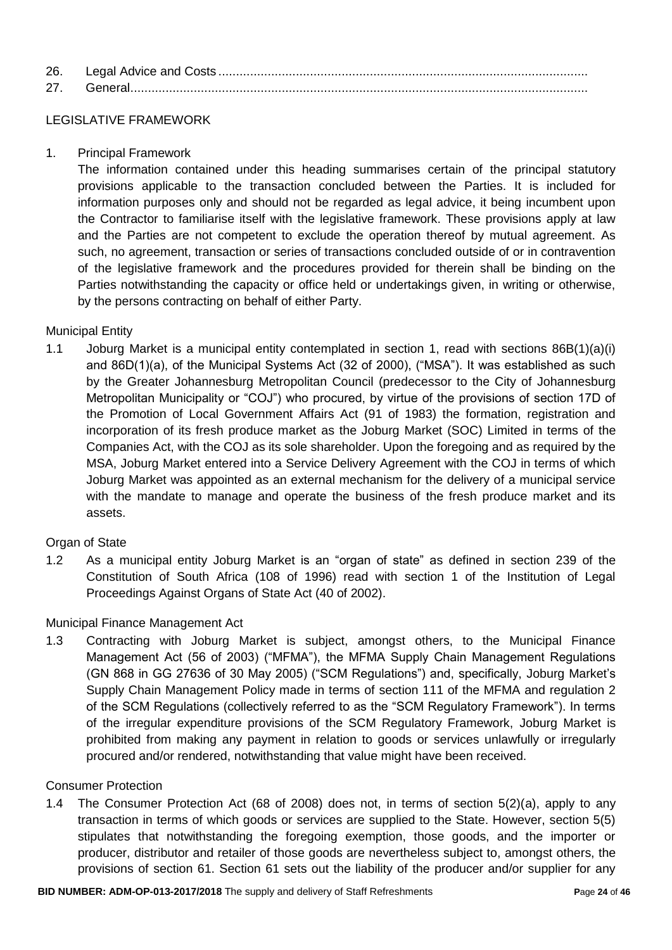| 26. |  |
|-----|--|
| 27  |  |

### LEGISLATIVE FRAMEWORK

1. Principal Framework

The information contained under this heading summarises certain of the principal statutory provisions applicable to the transaction concluded between the Parties. It is included for information purposes only and should not be regarded as legal advice, it being incumbent upon the Contractor to familiarise itself with the legislative framework. These provisions apply at law and the Parties are not competent to exclude the operation thereof by mutual agreement. As such, no agreement, transaction or series of transactions concluded outside of or in contravention of the legislative framework and the procedures provided for therein shall be binding on the Parties notwithstanding the capacity or office held or undertakings given, in writing or otherwise, by the persons contracting on behalf of either Party.

#### Municipal Entity

1.1 Joburg Market is a municipal entity contemplated in section 1, read with sections 86B(1)(a)(i) and 86D(1)(a), of the Municipal Systems Act (32 of 2000), ("MSA"). It was established as such by the Greater Johannesburg Metropolitan Council (predecessor to the City of Johannesburg Metropolitan Municipality or "COJ") who procured, by virtue of the provisions of section 17D of the Promotion of Local Government Affairs Act (91 of 1983) the formation, registration and incorporation of its fresh produce market as the Joburg Market (SOC) Limited in terms of the Companies Act, with the COJ as its sole shareholder. Upon the foregoing and as required by the MSA, Joburg Market entered into a Service Delivery Agreement with the COJ in terms of which Joburg Market was appointed as an external mechanism for the delivery of a municipal service with the mandate to manage and operate the business of the fresh produce market and its assets.

#### Organ of State

1.2 As a municipal entity Joburg Market is an "organ of state" as defined in section 239 of the Constitution of South Africa (108 of 1996) read with section 1 of the Institution of Legal Proceedings Against Organs of State Act (40 of 2002).

#### Municipal Finance Management Act

1.3 Contracting with Joburg Market is subject, amongst others, to the Municipal Finance Management Act (56 of 2003) ("MFMA"), the MFMA Supply Chain Management Regulations (GN 868 in GG 27636 of 30 May 2005) ("SCM Regulations") and, specifically, Joburg Market's Supply Chain Management Policy made in terms of section 111 of the MFMA and regulation 2 of the SCM Regulations (collectively referred to as the "SCM Regulatory Framework"). In terms of the irregular expenditure provisions of the SCM Regulatory Framework, Joburg Market is prohibited from making any payment in relation to goods or services unlawfully or irregularly procured and/or rendered, notwithstanding that value might have been received.

#### Consumer Protection

1.4 The Consumer Protection Act (68 of 2008) does not, in terms of section 5(2)(a), apply to any transaction in terms of which goods or services are supplied to the State. However, section 5(5) stipulates that notwithstanding the foregoing exemption, those goods, and the importer or producer, distributor and retailer of those goods are nevertheless subject to, amongst others, the provisions of section 61. Section 61 sets out the liability of the producer and/or supplier for any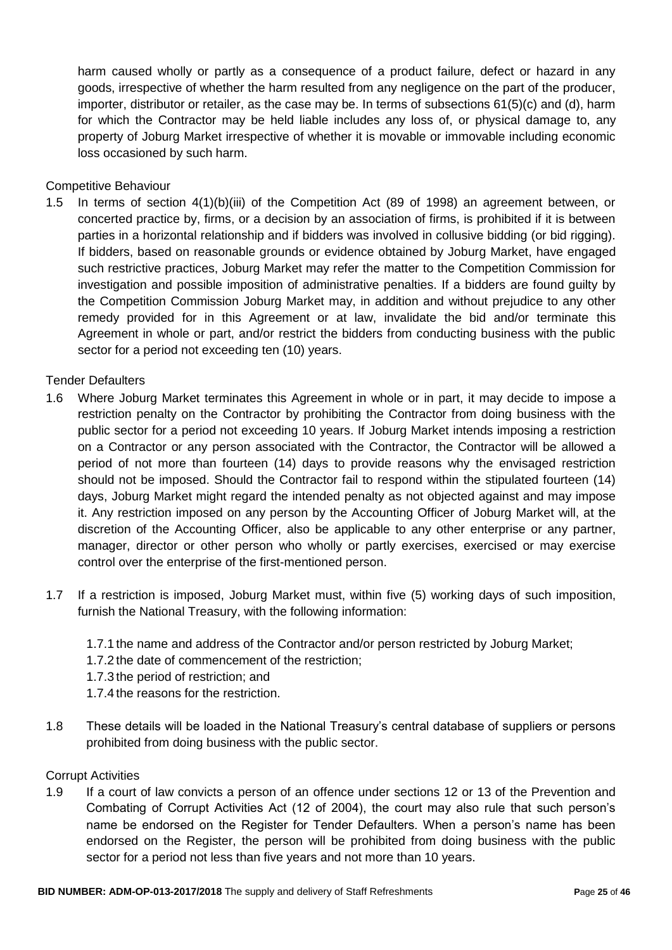harm caused wholly or partly as a consequence of a product failure, defect or hazard in any goods, irrespective of whether the harm resulted from any negligence on the part of the producer, importer, distributor or retailer, as the case may be. In terms of subsections 61(5)(c) and (d), harm for which the Contractor may be held liable includes any loss of, or physical damage to, any property of Joburg Market irrespective of whether it is movable or immovable including economic loss occasioned by such harm.

Competitive Behaviour

1.5 In terms of section 4(1)(b)(iii) of the Competition Act (89 of 1998) an agreement between, or concerted practice by, firms, or a decision by an association of firms, is prohibited if it is between parties in a horizontal relationship and if bidders was involved in collusive bidding (or bid rigging). If bidders, based on reasonable grounds or evidence obtained by Joburg Market, have engaged such restrictive practices, Joburg Market may refer the matter to the Competition Commission for investigation and possible imposition of administrative penalties. If a bidders are found guilty by the Competition Commission Joburg Market may, in addition and without prejudice to any other remedy provided for in this Agreement or at law, invalidate the bid and/or terminate this Agreement in whole or part, and/or restrict the bidders from conducting business with the public sector for a period not exceeding ten (10) years.

Tender Defaulters

- 1.6 Where Joburg Market terminates this Agreement in whole or in part, it may decide to impose a restriction penalty on the Contractor by prohibiting the Contractor from doing business with the public sector for a period not exceeding 10 years. If Joburg Market intends imposing a restriction on a Contractor or any person associated with the Contractor, the Contractor will be allowed a period of not more than fourteen (14) days to provide reasons why the envisaged restriction should not be imposed. Should the Contractor fail to respond within the stipulated fourteen (14) days, Joburg Market might regard the intended penalty as not objected against and may impose it. Any restriction imposed on any person by the Accounting Officer of Joburg Market will, at the discretion of the Accounting Officer, also be applicable to any other enterprise or any partner, manager, director or other person who wholly or partly exercises, exercised or may exercise control over the enterprise of the first-mentioned person.
- 1.7 If a restriction is imposed, Joburg Market must, within five (5) working days of such imposition, furnish the National Treasury, with the following information:
	- 1.7.1 the name and address of the Contractor and/or person restricted by Joburg Market;
	- 1.7.2 the date of commencement of the restriction;
	- 1.7.3 the period of restriction; and
	- 1.7.4 the reasons for the restriction.
- 1.8 These details will be loaded in the National Treasury's central database of suppliers or persons prohibited from doing business with the public sector.

#### Corrupt Activities

1.9 If a court of law convicts a person of an offence under sections 12 or 13 of the Prevention and Combating of Corrupt Activities Act (12 of 2004), the court may also rule that such person's name be endorsed on the Register for Tender Defaulters. When a person's name has been endorsed on the Register, the person will be prohibited from doing business with the public sector for a period not less than five years and not more than 10 years.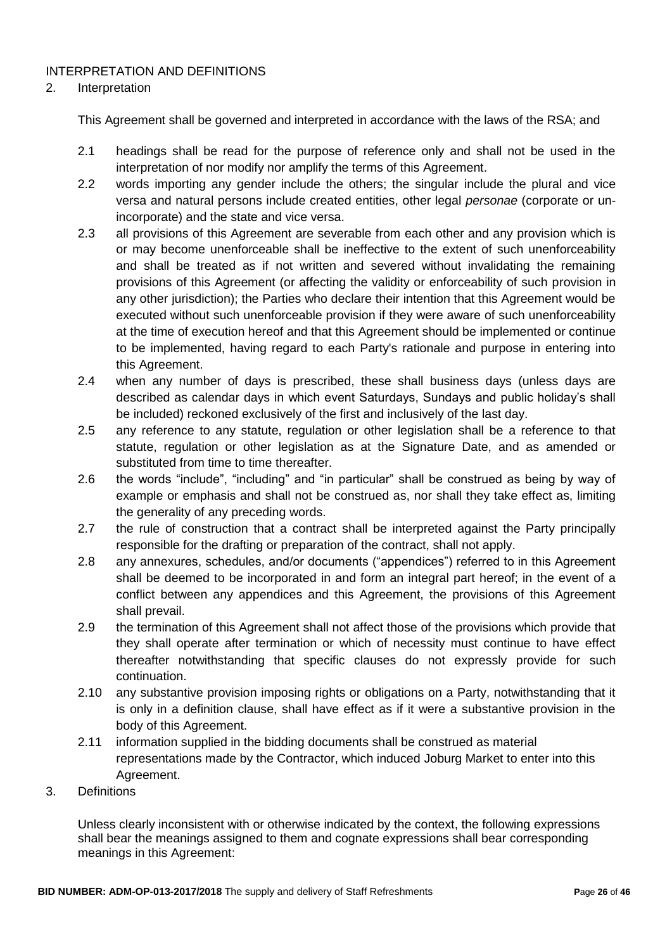### INTERPRETATION AND DEFINITIONS

#### 2. Interpretation

This Agreement shall be governed and interpreted in accordance with the laws of the RSA; and

- 2.1 headings shall be read for the purpose of reference only and shall not be used in the interpretation of nor modify nor amplify the terms of this Agreement.
- 2.2 words importing any gender include the others; the singular include the plural and vice versa and natural persons include created entities, other legal *personae* (corporate or unincorporate) and the state and vice versa.
- 2.3 all provisions of this Agreement are severable from each other and any provision which is or may become unenforceable shall be ineffective to the extent of such unenforceability and shall be treated as if not written and severed without invalidating the remaining provisions of this Agreement (or affecting the validity or enforceability of such provision in any other jurisdiction); the Parties who declare their intention that this Agreement would be executed without such unenforceable provision if they were aware of such unenforceability at the time of execution hereof and that this Agreement should be implemented or continue to be implemented, having regard to each Party's rationale and purpose in entering into this Agreement.
- 2.4 when any number of days is prescribed, these shall business days (unless days are described as calendar days in which event Saturdays, Sundays and public holiday's shall be included) reckoned exclusively of the first and inclusively of the last day.
- 2.5 any reference to any statute, regulation or other legislation shall be a reference to that statute, regulation or other legislation as at the Signature Date, and as amended or substituted from time to time thereafter.
- 2.6 the words "include", "including" and "in particular" shall be construed as being by way of example or emphasis and shall not be construed as, nor shall they take effect as, limiting the generality of any preceding words.
- 2.7 the rule of construction that a contract shall be interpreted against the Party principally responsible for the drafting or preparation of the contract, shall not apply.
- 2.8 any annexures, schedules, and/or documents ("appendices") referred to in this Agreement shall be deemed to be incorporated in and form an integral part hereof; in the event of a conflict between any appendices and this Agreement, the provisions of this Agreement shall prevail.
- 2.9 the termination of this Agreement shall not affect those of the provisions which provide that they shall operate after termination or which of necessity must continue to have effect thereafter notwithstanding that specific clauses do not expressly provide for such continuation.
- 2.10 any substantive provision imposing rights or obligations on a Party, notwithstanding that it is only in a definition clause, shall have effect as if it were a substantive provision in the body of this Agreement.
- 2.11 information supplied in the bidding documents shall be construed as material representations made by the Contractor, which induced Joburg Market to enter into this Agreement.
- 3. Definitions

Unless clearly inconsistent with or otherwise indicated by the context, the following expressions shall bear the meanings assigned to them and cognate expressions shall bear corresponding meanings in this Agreement: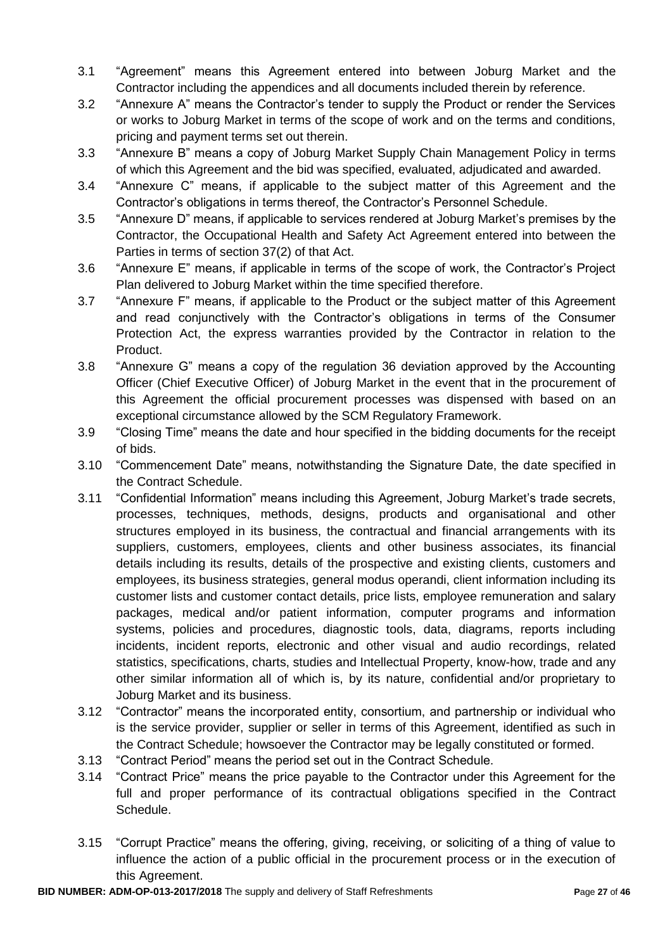- 3.1 "Agreement" means this Agreement entered into between Joburg Market and the Contractor including the appendices and all documents included therein by reference.
- 3.2 "Annexure A" means the Contractor's tender to supply the Product or render the Services or works to Joburg Market in terms of the scope of work and on the terms and conditions, pricing and payment terms set out therein.
- 3.3 "Annexure B" means a copy of Joburg Market Supply Chain Management Policy in terms of which this Agreement and the bid was specified, evaluated, adjudicated and awarded.
- 3.4 "Annexure C" means, if applicable to the subject matter of this Agreement and the Contractor's obligations in terms thereof, the Contractor's Personnel Schedule.
- 3.5 "Annexure D" means, if applicable to services rendered at Joburg Market's premises by the Contractor, the Occupational Health and Safety Act Agreement entered into between the Parties in terms of section 37(2) of that Act.
- 3.6 "Annexure E" means, if applicable in terms of the scope of work, the Contractor's Project Plan delivered to Joburg Market within the time specified therefore.
- 3.7 "Annexure F" means, if applicable to the Product or the subject matter of this Agreement and read conjunctively with the Contractor's obligations in terms of the Consumer Protection Act, the express warranties provided by the Contractor in relation to the Product.
- 3.8 "Annexure G" means a copy of the regulation 36 deviation approved by the Accounting Officer (Chief Executive Officer) of Joburg Market in the event that in the procurement of this Agreement the official procurement processes was dispensed with based on an exceptional circumstance allowed by the SCM Regulatory Framework.
- 3.9 "Closing Time" means the date and hour specified in the bidding documents for the receipt of bids.
- 3.10 "Commencement Date" means, notwithstanding the Signature Date, the date specified in the Contract Schedule.
- 3.11 "Confidential Information" means including this Agreement, Joburg Market's trade secrets, processes, techniques, methods, designs, products and organisational and other structures employed in its business, the contractual and financial arrangements with its suppliers, customers, employees, clients and other business associates, its financial details including its results, details of the prospective and existing clients, customers and employees, its business strategies, general modus operandi, client information including its customer lists and customer contact details, price lists, employee remuneration and salary packages, medical and/or patient information, computer programs and information systems, policies and procedures, diagnostic tools, data, diagrams, reports including incidents, incident reports, electronic and other visual and audio recordings, related statistics, specifications, charts, studies and Intellectual Property, know-how, trade and any other similar information all of which is, by its nature, confidential and/or proprietary to Joburg Market and its business.
- 3.12 "Contractor" means the incorporated entity, consortium, and partnership or individual who is the service provider, supplier or seller in terms of this Agreement, identified as such in the Contract Schedule; howsoever the Contractor may be legally constituted or formed.
- 3.13 "Contract Period" means the period set out in the Contract Schedule.
- 3.14 "Contract Price" means the price payable to the Contractor under this Agreement for the full and proper performance of its contractual obligations specified in the Contract Schedule.
- 3.15 "Corrupt Practice" means the offering, giving, receiving, or soliciting of a thing of value to influence the action of a public official in the procurement process or in the execution of this Agreement.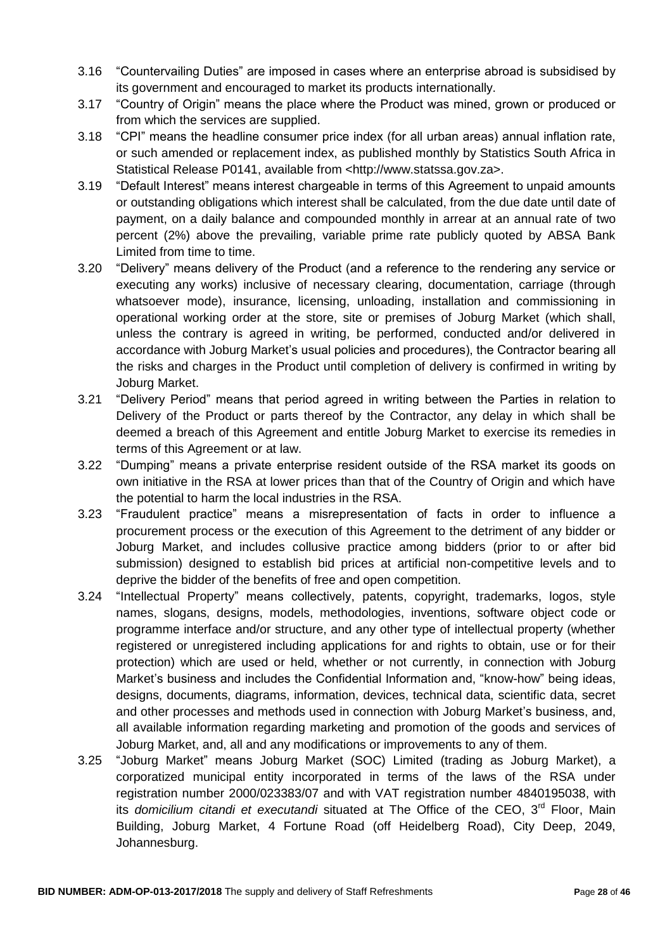- 3.16 "Countervailing Duties" are imposed in cases where an enterprise abroad is subsidised by its government and encouraged to market its products internationally.
- 3.17 "Country of Origin" means the place where the Product was mined, grown or produced or from which the services are supplied.
- 3.18 "CPI" means the headline consumer price index (for all urban areas) annual inflation rate, or such amended or replacement index, as published monthly by Statistics South Africa in Statistical Release P0141, available from <http://www.statssa.gov.za>.
- 3.19 "Default Interest" means interest chargeable in terms of this Agreement to unpaid amounts or outstanding obligations which interest shall be calculated, from the due date until date of payment, on a daily balance and compounded monthly in arrear at an annual rate of two percent (2%) above the prevailing, variable prime rate publicly quoted by ABSA Bank Limited from time to time.
- 3.20 "Delivery" means delivery of the Product (and a reference to the rendering any service or executing any works) inclusive of necessary clearing, documentation, carriage (through whatsoever mode), insurance, licensing, unloading, installation and commissioning in operational working order at the store, site or premises of Joburg Market (which shall, unless the contrary is agreed in writing, be performed, conducted and/or delivered in accordance with Joburg Market's usual policies and procedures), the Contractor bearing all the risks and charges in the Product until completion of delivery is confirmed in writing by Joburg Market.
- 3.21 "Delivery Period" means that period agreed in writing between the Parties in relation to Delivery of the Product or parts thereof by the Contractor, any delay in which shall be deemed a breach of this Agreement and entitle Joburg Market to exercise its remedies in terms of this Agreement or at law.
- 3.22 "Dumping" means a private enterprise resident outside of the RSA market its goods on own initiative in the RSA at lower prices than that of the Country of Origin and which have the potential to harm the local industries in the RSA.
- 3.23 "Fraudulent practice" means a misrepresentation of facts in order to influence a procurement process or the execution of this Agreement to the detriment of any bidder or Joburg Market, and includes collusive practice among bidders (prior to or after bid submission) designed to establish bid prices at artificial non-competitive levels and to deprive the bidder of the benefits of free and open competition.
- 3.24 "Intellectual Property" means collectively, patents, copyright, trademarks, logos, style names, slogans, designs, models, methodologies, inventions, software object code or programme interface and/or structure, and any other type of intellectual property (whether registered or unregistered including applications for and rights to obtain, use or for their protection) which are used or held, whether or not currently, in connection with Joburg Market's business and includes the Confidential Information and, "know-how" being ideas, designs, documents, diagrams, information, devices, technical data, scientific data, secret and other processes and methods used in connection with Joburg Market's business, and, all available information regarding marketing and promotion of the goods and services of Joburg Market, and, all and any modifications or improvements to any of them.
- 3.25 "Joburg Market" means Joburg Market (SOC) Limited (trading as Joburg Market), a corporatized municipal entity incorporated in terms of the laws of the RSA under registration number 2000/023383/07 and with VAT registration number 4840195038, with its *domicilium citandi et executandi* situated at The Office of the CEO, 3<sup>rd</sup> Floor, Main Building, Joburg Market, 4 Fortune Road (off Heidelberg Road), City Deep, 2049, Johannesburg.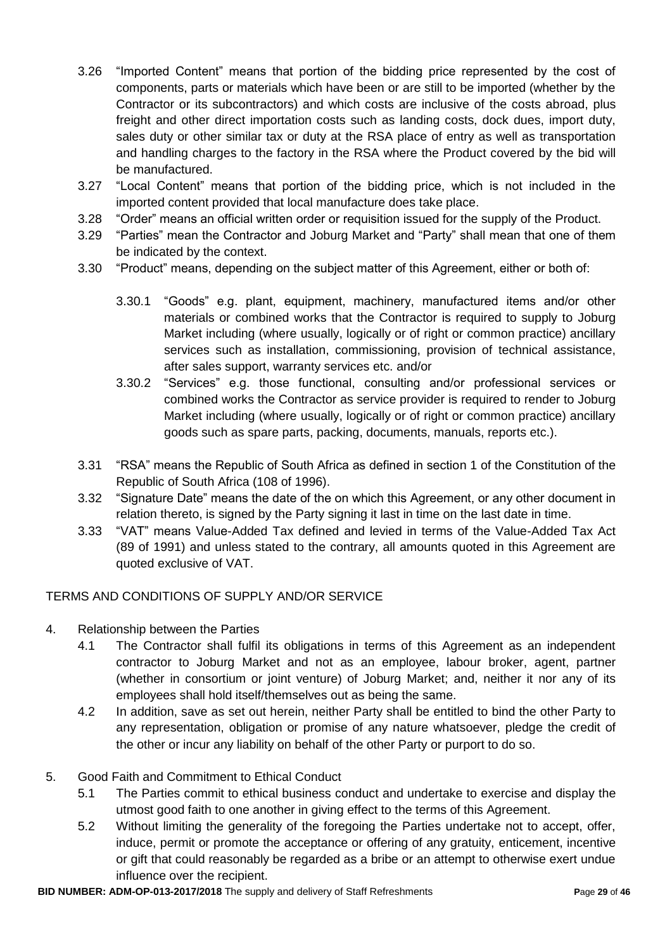- 3.26 "Imported Content" means that portion of the bidding price represented by the cost of components, parts or materials which have been or are still to be imported (whether by the Contractor or its subcontractors) and which costs are inclusive of the costs abroad, plus freight and other direct importation costs such as landing costs, dock dues, import duty, sales duty or other similar tax or duty at the RSA place of entry as well as transportation and handling charges to the factory in the RSA where the Product covered by the bid will be manufactured.
- 3.27 "Local Content" means that portion of the bidding price, which is not included in the imported content provided that local manufacture does take place.
- 3.28 "Order" means an official written order or requisition issued for the supply of the Product.
- 3.29 "Parties" mean the Contractor and Joburg Market and "Party" shall mean that one of them be indicated by the context.
- 3.30 "Product" means, depending on the subject matter of this Agreement, either or both of:
	- 3.30.1 "Goods" e.g. plant, equipment, machinery, manufactured items and/or other materials or combined works that the Contractor is required to supply to Joburg Market including (where usually, logically or of right or common practice) ancillary services such as installation, commissioning, provision of technical assistance, after sales support, warranty services etc. and/or
	- 3.30.2 "Services" e.g. those functional, consulting and/or professional services or combined works the Contractor as service provider is required to render to Joburg Market including (where usually, logically or of right or common practice) ancillary goods such as spare parts, packing, documents, manuals, reports etc.).
- 3.31 "RSA" means the Republic of South Africa as defined in section 1 of the Constitution of the Republic of South Africa (108 of 1996).
- 3.32 "Signature Date" means the date of the on which this Agreement, or any other document in relation thereto, is signed by the Party signing it last in time on the last date in time.
- 3.33 "VAT" means Value-Added Tax defined and levied in terms of the Value-Added Tax Act (89 of 1991) and unless stated to the contrary, all amounts quoted in this Agreement are quoted exclusive of VAT.

# TERMS AND CONDITIONS OF SUPPLY AND/OR SERVICE

- 4. Relationship between the Parties
	- 4.1 The Contractor shall fulfil its obligations in terms of this Agreement as an independent contractor to Joburg Market and not as an employee, labour broker, agent, partner (whether in consortium or joint venture) of Joburg Market; and, neither it nor any of its employees shall hold itself/themselves out as being the same.
	- 4.2 In addition, save as set out herein, neither Party shall be entitled to bind the other Party to any representation, obligation or promise of any nature whatsoever, pledge the credit of the other or incur any liability on behalf of the other Party or purport to do so.

# 5. Good Faith and Commitment to Ethical Conduct

- 5.1 The Parties commit to ethical business conduct and undertake to exercise and display the utmost good faith to one another in giving effect to the terms of this Agreement.
- 5.2 Without limiting the generality of the foregoing the Parties undertake not to accept, offer, induce, permit or promote the acceptance or offering of any gratuity, enticement, incentive or gift that could reasonably be regarded as a bribe or an attempt to otherwise exert undue influence over the recipient.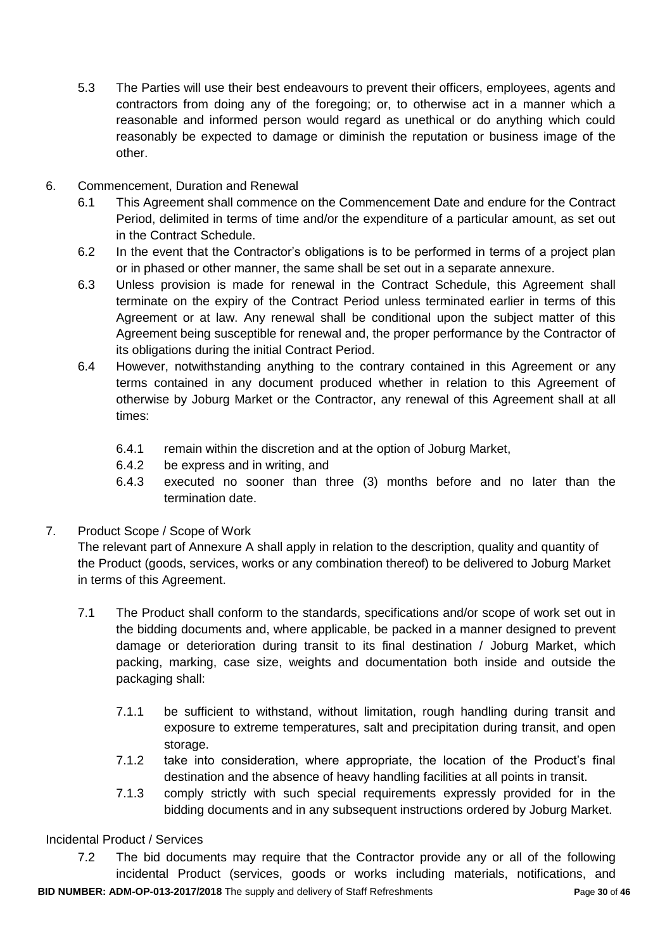- 5.3 The Parties will use their best endeavours to prevent their officers, employees, agents and contractors from doing any of the foregoing; or, to otherwise act in a manner which a reasonable and informed person would regard as unethical or do anything which could reasonably be expected to damage or diminish the reputation or business image of the other.
- 6. Commencement, Duration and Renewal
	- 6.1 This Agreement shall commence on the Commencement Date and endure for the Contract Period, delimited in terms of time and/or the expenditure of a particular amount, as set out in the Contract Schedule.
	- 6.2 In the event that the Contractor's obligations is to be performed in terms of a project plan or in phased or other manner, the same shall be set out in a separate annexure.
	- 6.3 Unless provision is made for renewal in the Contract Schedule, this Agreement shall terminate on the expiry of the Contract Period unless terminated earlier in terms of this Agreement or at law. Any renewal shall be conditional upon the subject matter of this Agreement being susceptible for renewal and, the proper performance by the Contractor of its obligations during the initial Contract Period.
	- 6.4 However, notwithstanding anything to the contrary contained in this Agreement or any terms contained in any document produced whether in relation to this Agreement of otherwise by Joburg Market or the Contractor, any renewal of this Agreement shall at all times:
		- 6.4.1 remain within the discretion and at the option of Joburg Market,
		- 6.4.2 be express and in writing, and
		- 6.4.3 executed no sooner than three (3) months before and no later than the termination date.
- 7. Product Scope / Scope of Work

The relevant part of Annexure A shall apply in relation to the description, quality and quantity of the Product (goods, services, works or any combination thereof) to be delivered to Joburg Market in terms of this Agreement.

- 7.1 The Product shall conform to the standards, specifications and/or scope of work set out in the bidding documents and, where applicable, be packed in a manner designed to prevent damage or deterioration during transit to its final destination / Joburg Market, which packing, marking, case size, weights and documentation both inside and outside the packaging shall:
	- 7.1.1 be sufficient to withstand, without limitation, rough handling during transit and exposure to extreme temperatures, salt and precipitation during transit, and open storage.
	- 7.1.2 take into consideration, where appropriate, the location of the Product's final destination and the absence of heavy handling facilities at all points in transit.
	- 7.1.3 comply strictly with such special requirements expressly provided for in the bidding documents and in any subsequent instructions ordered by Joburg Market.

Incidental Product / Services

**BID NUMBER: ADM-OP-013-2017/2018** The supply and delivery of Staff Refreshments **P**age **30** of **46** 7.2 The bid documents may require that the Contractor provide any or all of the following incidental Product (services, goods or works including materials, notifications, and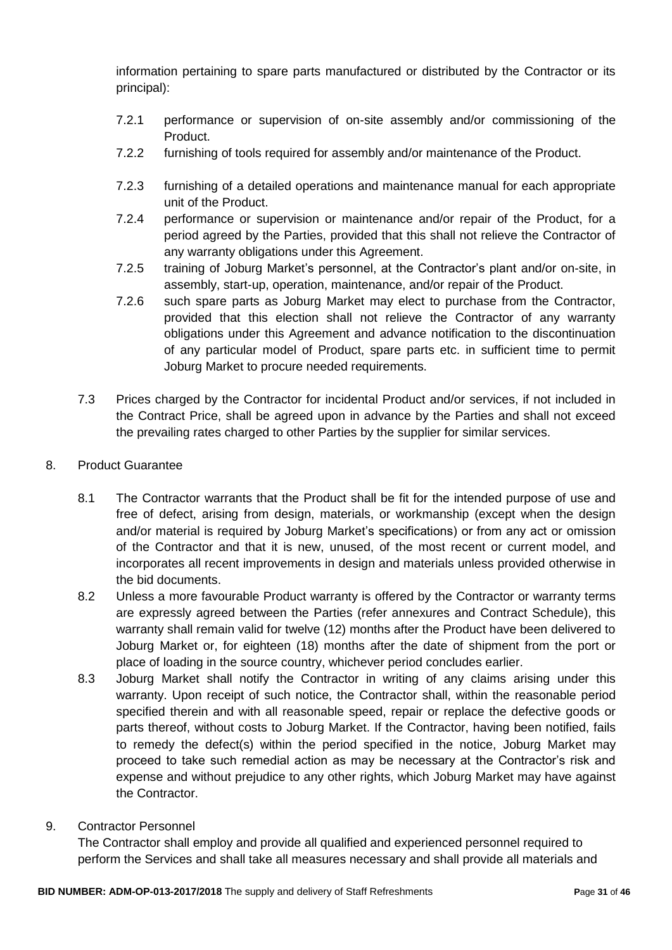information pertaining to spare parts manufactured or distributed by the Contractor or its principal):

- 7.2.1 performance or supervision of on-site assembly and/or commissioning of the Product.
- 7.2.2 furnishing of tools required for assembly and/or maintenance of the Product.
- 7.2.3 furnishing of a detailed operations and maintenance manual for each appropriate unit of the Product.
- 7.2.4 performance or supervision or maintenance and/or repair of the Product, for a period agreed by the Parties, provided that this shall not relieve the Contractor of any warranty obligations under this Agreement.
- 7.2.5 training of Joburg Market's personnel, at the Contractor's plant and/or on-site, in assembly, start-up, operation, maintenance, and/or repair of the Product.
- 7.2.6 such spare parts as Joburg Market may elect to purchase from the Contractor, provided that this election shall not relieve the Contractor of any warranty obligations under this Agreement and advance notification to the discontinuation of any particular model of Product, spare parts etc. in sufficient time to permit Joburg Market to procure needed requirements.
- 7.3 Prices charged by the Contractor for incidental Product and/or services, if not included in the Contract Price, shall be agreed upon in advance by the Parties and shall not exceed the prevailing rates charged to other Parties by the supplier for similar services.
- 8. Product Guarantee
	- 8.1 The Contractor warrants that the Product shall be fit for the intended purpose of use and free of defect, arising from design, materials, or workmanship (except when the design and/or material is required by Joburg Market's specifications) or from any act or omission of the Contractor and that it is new, unused, of the most recent or current model, and incorporates all recent improvements in design and materials unless provided otherwise in the bid documents.
	- 8.2 Unless a more favourable Product warranty is offered by the Contractor or warranty terms are expressly agreed between the Parties (refer annexures and Contract Schedule), this warranty shall remain valid for twelve (12) months after the Product have been delivered to Joburg Market or, for eighteen (18) months after the date of shipment from the port or place of loading in the source country, whichever period concludes earlier.
	- 8.3 Joburg Market shall notify the Contractor in writing of any claims arising under this warranty. Upon receipt of such notice, the Contractor shall, within the reasonable period specified therein and with all reasonable speed, repair or replace the defective goods or parts thereof, without costs to Joburg Market. If the Contractor, having been notified, fails to remedy the defect(s) within the period specified in the notice, Joburg Market may proceed to take such remedial action as may be necessary at the Contractor's risk and expense and without prejudice to any other rights, which Joburg Market may have against the Contractor.
- 9. Contractor Personnel

The Contractor shall employ and provide all qualified and experienced personnel required to perform the Services and shall take all measures necessary and shall provide all materials and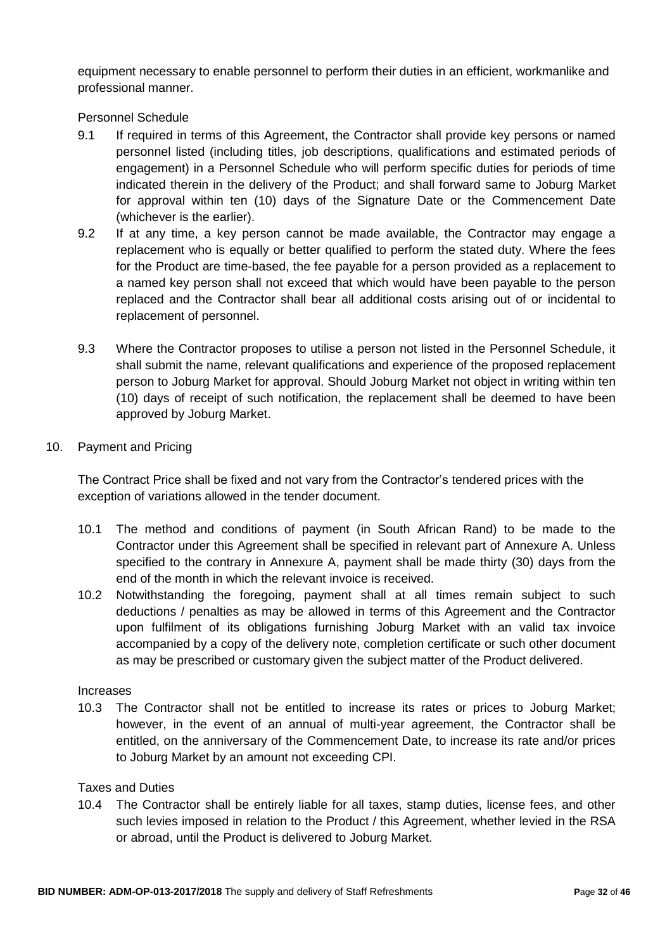equipment necessary to enable personnel to perform their duties in an efficient, workmanlike and professional manner.

Personnel Schedule

- 9.1 If required in terms of this Agreement, the Contractor shall provide key persons or named personnel listed (including titles, job descriptions, qualifications and estimated periods of engagement) in a Personnel Schedule who will perform specific duties for periods of time indicated therein in the delivery of the Product; and shall forward same to Joburg Market for approval within ten (10) days of the Signature Date or the Commencement Date (whichever is the earlier).
- 9.2 If at any time, a key person cannot be made available, the Contractor may engage a replacement who is equally or better qualified to perform the stated duty. Where the fees for the Product are time-based, the fee payable for a person provided as a replacement to a named key person shall not exceed that which would have been payable to the person replaced and the Contractor shall bear all additional costs arising out of or incidental to replacement of personnel.
- 9.3 Where the Contractor proposes to utilise a person not listed in the Personnel Schedule, it shall submit the name, relevant qualifications and experience of the proposed replacement person to Joburg Market for approval. Should Joburg Market not object in writing within ten (10) days of receipt of such notification, the replacement shall be deemed to have been approved by Joburg Market.
- 10. Payment and Pricing

The Contract Price shall be fixed and not vary from the Contractor's tendered prices with the exception of variations allowed in the tender document.

- 10.1 The method and conditions of payment (in South African Rand) to be made to the Contractor under this Agreement shall be specified in relevant part of Annexure A. Unless specified to the contrary in Annexure A, payment shall be made thirty (30) days from the end of the month in which the relevant invoice is received.
- 10.2 Notwithstanding the foregoing, payment shall at all times remain subject to such deductions / penalties as may be allowed in terms of this Agreement and the Contractor upon fulfilment of its obligations furnishing Joburg Market with an valid tax invoice accompanied by a copy of the delivery note, completion certificate or such other document as may be prescribed or customary given the subject matter of the Product delivered.

#### Increases

10.3 The Contractor shall not be entitled to increase its rates or prices to Joburg Market; however, in the event of an annual of multi-year agreement, the Contractor shall be entitled, on the anniversary of the Commencement Date, to increase its rate and/or prices to Joburg Market by an amount not exceeding CPI.

#### Taxes and Duties

10.4 The Contractor shall be entirely liable for all taxes, stamp duties, license fees, and other such levies imposed in relation to the Product / this Agreement, whether levied in the RSA or abroad, until the Product is delivered to Joburg Market.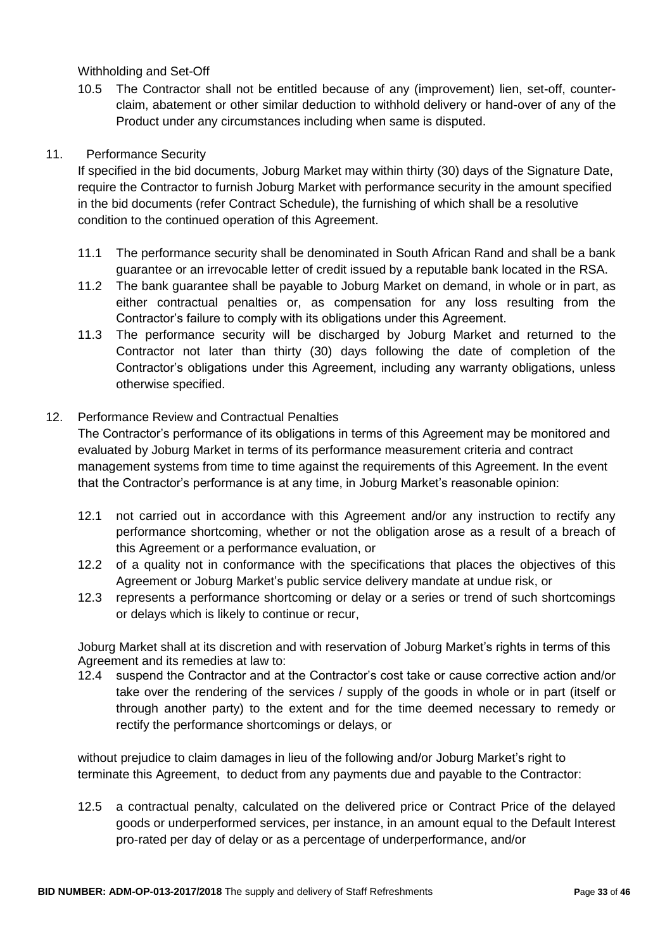Withholding and Set-Off

10.5 The Contractor shall not be entitled because of any (improvement) lien, set-off, counterclaim, abatement or other similar deduction to withhold delivery or hand-over of any of the Product under any circumstances including when same is disputed.

# 11. Performance Security

If specified in the bid documents, Joburg Market may within thirty (30) days of the Signature Date, require the Contractor to furnish Joburg Market with performance security in the amount specified in the bid documents (refer Contract Schedule), the furnishing of which shall be a resolutive condition to the continued operation of this Agreement.

- 11.1 The performance security shall be denominated in South African Rand and shall be a bank guarantee or an irrevocable letter of credit issued by a reputable bank located in the RSA.
- 11.2 The bank guarantee shall be payable to Joburg Market on demand, in whole or in part, as either contractual penalties or, as compensation for any loss resulting from the Contractor's failure to comply with its obligations under this Agreement.
- 11.3 The performance security will be discharged by Joburg Market and returned to the Contractor not later than thirty (30) days following the date of completion of the Contractor's obligations under this Agreement, including any warranty obligations, unless otherwise specified.

### 12. Performance Review and Contractual Penalties

The Contractor's performance of its obligations in terms of this Agreement may be monitored and evaluated by Joburg Market in terms of its performance measurement criteria and contract management systems from time to time against the requirements of this Agreement. In the event that the Contractor's performance is at any time, in Joburg Market's reasonable opinion:

- 12.1 not carried out in accordance with this Agreement and/or any instruction to rectify any performance shortcoming, whether or not the obligation arose as a result of a breach of this Agreement or a performance evaluation, or
- 12.2 of a quality not in conformance with the specifications that places the objectives of this Agreement or Joburg Market's public service delivery mandate at undue risk, or
- 12.3 represents a performance shortcoming or delay or a series or trend of such shortcomings or delays which is likely to continue or recur,

Joburg Market shall at its discretion and with reservation of Joburg Market's rights in terms of this Agreement and its remedies at law to:

12.4 suspend the Contractor and at the Contractor's cost take or cause corrective action and/or take over the rendering of the services / supply of the goods in whole or in part (itself or through another party) to the extent and for the time deemed necessary to remedy or rectify the performance shortcomings or delays, or

without prejudice to claim damages in lieu of the following and/or Joburg Market's right to terminate this Agreement, to deduct from any payments due and payable to the Contractor:

12.5 a contractual penalty, calculated on the delivered price or Contract Price of the delayed goods or underperformed services, per instance, in an amount equal to the Default Interest pro-rated per day of delay or as a percentage of underperformance, and/or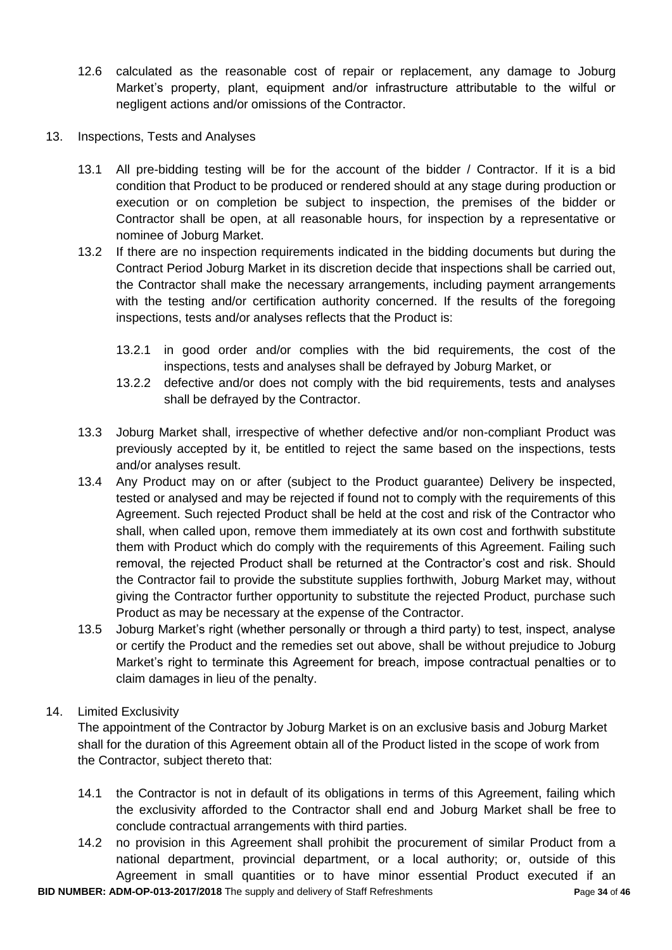- 12.6 calculated as the reasonable cost of repair or replacement, any damage to Joburg Market's property, plant, equipment and/or infrastructure attributable to the wilful or negligent actions and/or omissions of the Contractor.
- 13. Inspections, Tests and Analyses
	- 13.1 All pre-bidding testing will be for the account of the bidder / Contractor. If it is a bid condition that Product to be produced or rendered should at any stage during production or execution or on completion be subject to inspection, the premises of the bidder or Contractor shall be open, at all reasonable hours, for inspection by a representative or nominee of Joburg Market.
	- 13.2 If there are no inspection requirements indicated in the bidding documents but during the Contract Period Joburg Market in its discretion decide that inspections shall be carried out, the Contractor shall make the necessary arrangements, including payment arrangements with the testing and/or certification authority concerned. If the results of the foregoing inspections, tests and/or analyses reflects that the Product is:
		- 13.2.1 in good order and/or complies with the bid requirements, the cost of the inspections, tests and analyses shall be defrayed by Joburg Market, or
		- 13.2.2 defective and/or does not comply with the bid requirements, tests and analyses shall be defrayed by the Contractor.
	- 13.3 Joburg Market shall, irrespective of whether defective and/or non-compliant Product was previously accepted by it, be entitled to reject the same based on the inspections, tests and/or analyses result.
	- 13.4 Any Product may on or after (subject to the Product guarantee) Delivery be inspected, tested or analysed and may be rejected if found not to comply with the requirements of this Agreement. Such rejected Product shall be held at the cost and risk of the Contractor who shall, when called upon, remove them immediately at its own cost and forthwith substitute them with Product which do comply with the requirements of this Agreement. Failing such removal, the rejected Product shall be returned at the Contractor's cost and risk. Should the Contractor fail to provide the substitute supplies forthwith, Joburg Market may, without giving the Contractor further opportunity to substitute the rejected Product, purchase such Product as may be necessary at the expense of the Contractor.
	- 13.5 Joburg Market's right (whether personally or through a third party) to test, inspect, analyse or certify the Product and the remedies set out above, shall be without prejudice to Joburg Market's right to terminate this Agreement for breach, impose contractual penalties or to claim damages in lieu of the penalty.

#### 14. Limited Exclusivity

The appointment of the Contractor by Joburg Market is on an exclusive basis and Joburg Market shall for the duration of this Agreement obtain all of the Product listed in the scope of work from the Contractor, subject thereto that:

- 14.1 the Contractor is not in default of its obligations in terms of this Agreement, failing which the exclusivity afforded to the Contractor shall end and Joburg Market shall be free to conclude contractual arrangements with third parties.
- **BID NUMBER: ADM-OP-013-2017/2018** The supply and delivery of Staff Refreshments **P**age **34** of **46** 14.2 no provision in this Agreement shall prohibit the procurement of similar Product from a national department, provincial department, or a local authority; or, outside of this Agreement in small quantities or to have minor essential Product executed if an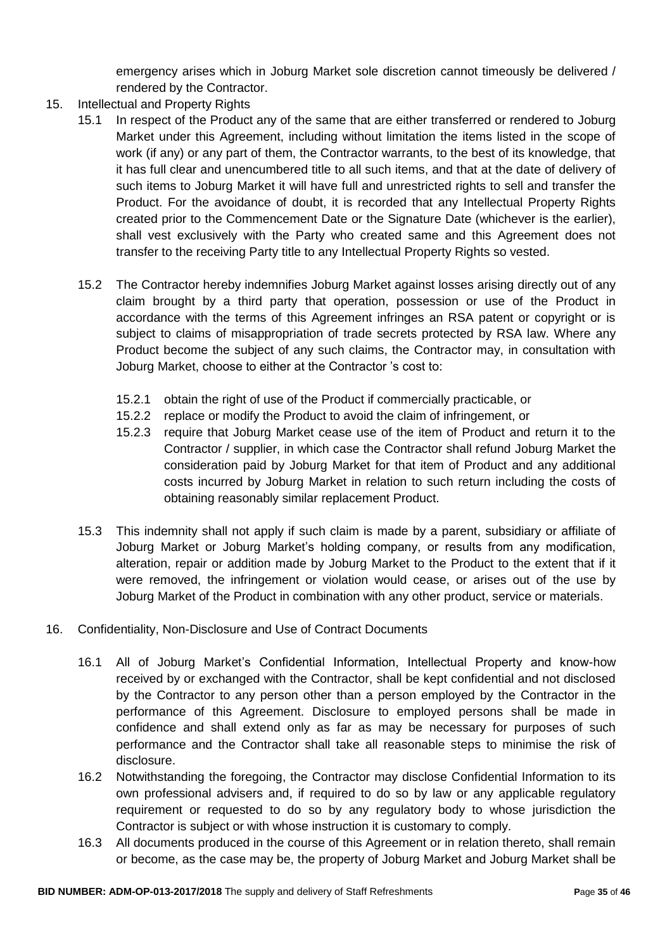emergency arises which in Joburg Market sole discretion cannot timeously be delivered / rendered by the Contractor.

- 15. Intellectual and Property Rights
	- 15.1 In respect of the Product any of the same that are either transferred or rendered to Joburg Market under this Agreement, including without limitation the items listed in the scope of work (if any) or any part of them, the Contractor warrants, to the best of its knowledge, that it has full clear and unencumbered title to all such items, and that at the date of delivery of such items to Joburg Market it will have full and unrestricted rights to sell and transfer the Product. For the avoidance of doubt, it is recorded that any Intellectual Property Rights created prior to the Commencement Date or the Signature Date (whichever is the earlier), shall vest exclusively with the Party who created same and this Agreement does not transfer to the receiving Party title to any Intellectual Property Rights so vested.
	- 15.2 The Contractor hereby indemnifies Joburg Market against losses arising directly out of any claim brought by a third party that operation, possession or use of the Product in accordance with the terms of this Agreement infringes an RSA patent or copyright or is subject to claims of misappropriation of trade secrets protected by RSA law. Where any Product become the subject of any such claims, the Contractor may, in consultation with Joburg Market, choose to either at the Contractor 's cost to:
		- 15.2.1 obtain the right of use of the Product if commercially practicable, or
		- 15.2.2 replace or modify the Product to avoid the claim of infringement, or
		- 15.2.3 require that Joburg Market cease use of the item of Product and return it to the Contractor / supplier, in which case the Contractor shall refund Joburg Market the consideration paid by Joburg Market for that item of Product and any additional costs incurred by Joburg Market in relation to such return including the costs of obtaining reasonably similar replacement Product.
	- 15.3 This indemnity shall not apply if such claim is made by a parent, subsidiary or affiliate of Joburg Market or Joburg Market's holding company, or results from any modification, alteration, repair or addition made by Joburg Market to the Product to the extent that if it were removed, the infringement or violation would cease, or arises out of the use by Joburg Market of the Product in combination with any other product, service or materials.
- 16. Confidentiality, Non-Disclosure and Use of Contract Documents
	- 16.1 All of Joburg Market's Confidential Information, Intellectual Property and know-how received by or exchanged with the Contractor, shall be kept confidential and not disclosed by the Contractor to any person other than a person employed by the Contractor in the performance of this Agreement. Disclosure to employed persons shall be made in confidence and shall extend only as far as may be necessary for purposes of such performance and the Contractor shall take all reasonable steps to minimise the risk of disclosure.
	- 16.2 Notwithstanding the foregoing, the Contractor may disclose Confidential Information to its own professional advisers and, if required to do so by law or any applicable regulatory requirement or requested to do so by any regulatory body to whose jurisdiction the Contractor is subject or with whose instruction it is customary to comply.
	- 16.3 All documents produced in the course of this Agreement or in relation thereto, shall remain or become, as the case may be, the property of Joburg Market and Joburg Market shall be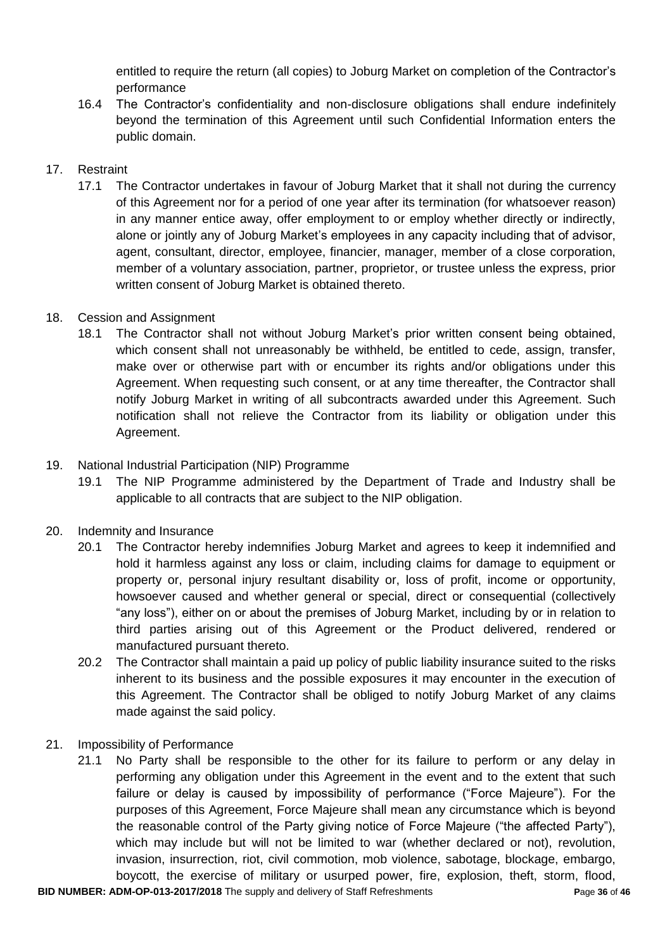entitled to require the return (all copies) to Joburg Market on completion of the Contractor's performance

16.4 The Contractor's confidentiality and non-disclosure obligations shall endure indefinitely beyond the termination of this Agreement until such Confidential Information enters the public domain.

# 17. Restraint

17.1 The Contractor undertakes in favour of Joburg Market that it shall not during the currency of this Agreement nor for a period of one year after its termination (for whatsoever reason) in any manner entice away, offer employment to or employ whether directly or indirectly, alone or jointly any of Joburg Market's employees in any capacity including that of advisor, agent, consultant, director, employee, financier, manager, member of a close corporation, member of a voluntary association, partner, proprietor, or trustee unless the express, prior written consent of Joburg Market is obtained thereto.

### 18. Cession and Assignment

18.1 The Contractor shall not without Joburg Market's prior written consent being obtained, which consent shall not unreasonably be withheld, be entitled to cede, assign, transfer, make over or otherwise part with or encumber its rights and/or obligations under this Agreement. When requesting such consent, or at any time thereafter, the Contractor shall notify Joburg Market in writing of all subcontracts awarded under this Agreement. Such notification shall not relieve the Contractor from its liability or obligation under this Agreement.

### 19. National Industrial Participation (NIP) Programme

19.1 The NIP Programme administered by the Department of Trade and Industry shall be applicable to all contracts that are subject to the NIP obligation.

#### 20. Indemnity and Insurance

- 20.1 The Contractor hereby indemnifies Joburg Market and agrees to keep it indemnified and hold it harmless against any loss or claim, including claims for damage to equipment or property or, personal injury resultant disability or, loss of profit, income or opportunity, howsoever caused and whether general or special, direct or consequential (collectively "any loss"), either on or about the premises of Joburg Market, including by or in relation to third parties arising out of this Agreement or the Product delivered, rendered or manufactured pursuant thereto.
- 20.2 The Contractor shall maintain a paid up policy of public liability insurance suited to the risks inherent to its business and the possible exposures it may encounter in the execution of this Agreement. The Contractor shall be obliged to notify Joburg Market of any claims made against the said policy.
- 21. Impossibility of Performance
	- 21.1 No Party shall be responsible to the other for its failure to perform or any delay in performing any obligation under this Agreement in the event and to the extent that such failure or delay is caused by impossibility of performance ("Force Majeure"). For the purposes of this Agreement, Force Majeure shall mean any circumstance which is beyond the reasonable control of the Party giving notice of Force Majeure ("the affected Party"), which may include but will not be limited to war (whether declared or not), revolution, invasion, insurrection, riot, civil commotion, mob violence, sabotage, blockage, embargo, boycott, the exercise of military or usurped power, fire, explosion, theft, storm, flood,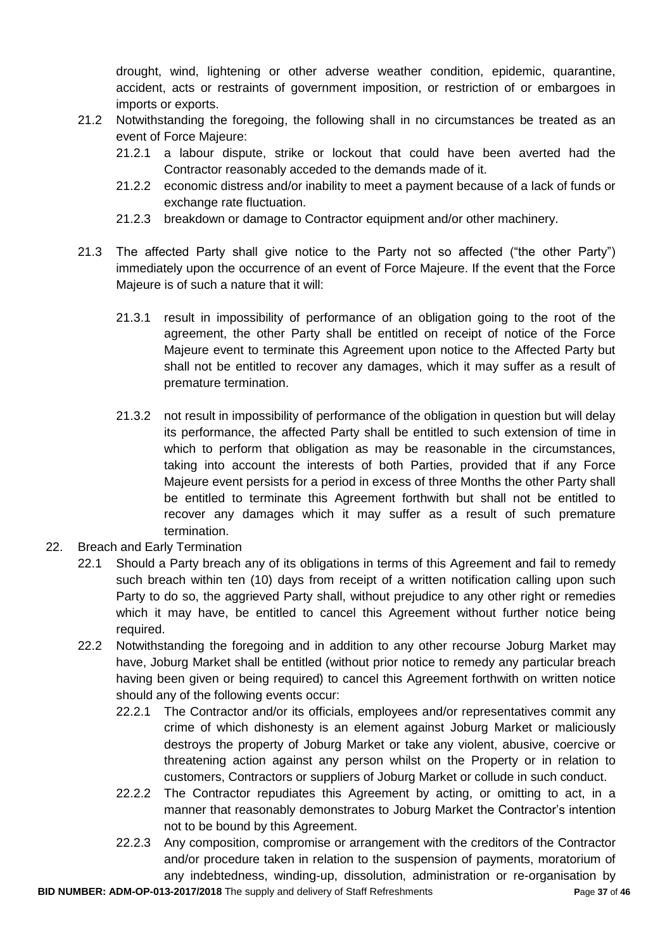drought, wind, lightening or other adverse weather condition, epidemic, quarantine, accident, acts or restraints of government imposition, or restriction of or embargoes in imports or exports.

- 21.2 Notwithstanding the foregoing, the following shall in no circumstances be treated as an event of Force Majeure:
	- 21.2.1 a labour dispute, strike or lockout that could have been averted had the Contractor reasonably acceded to the demands made of it.
	- 21.2.2 economic distress and/or inability to meet a payment because of a lack of funds or exchange rate fluctuation.
	- 21.2.3 breakdown or damage to Contractor equipment and/or other machinery.
- 21.3 The affected Party shall give notice to the Party not so affected ("the other Party") immediately upon the occurrence of an event of Force Majeure. If the event that the Force Majeure is of such a nature that it will:
	- 21.3.1 result in impossibility of performance of an obligation going to the root of the agreement, the other Party shall be entitled on receipt of notice of the Force Majeure event to terminate this Agreement upon notice to the Affected Party but shall not be entitled to recover any damages, which it may suffer as a result of premature termination.
	- 21.3.2 not result in impossibility of performance of the obligation in question but will delay its performance, the affected Party shall be entitled to such extension of time in which to perform that obligation as may be reasonable in the circumstances, taking into account the interests of both Parties, provided that if any Force Majeure event persists for a period in excess of three Months the other Party shall be entitled to terminate this Agreement forthwith but shall not be entitled to recover any damages which it may suffer as a result of such premature termination.
- 22. Breach and Early Termination
	- 22.1 Should a Party breach any of its obligations in terms of this Agreement and fail to remedy such breach within ten (10) days from receipt of a written notification calling upon such Party to do so, the aggrieved Party shall, without prejudice to any other right or remedies which it may have, be entitled to cancel this Agreement without further notice being required.
	- 22.2 Notwithstanding the foregoing and in addition to any other recourse Joburg Market may have, Joburg Market shall be entitled (without prior notice to remedy any particular breach having been given or being required) to cancel this Agreement forthwith on written notice should any of the following events occur:
		- 22.2.1 The Contractor and/or its officials, employees and/or representatives commit any crime of which dishonesty is an element against Joburg Market or maliciously destroys the property of Joburg Market or take any violent, abusive, coercive or threatening action against any person whilst on the Property or in relation to customers, Contractors or suppliers of Joburg Market or collude in such conduct.
		- 22.2.2 The Contractor repudiates this Agreement by acting, or omitting to act, in a manner that reasonably demonstrates to Joburg Market the Contractor's intention not to be bound by this Agreement.
		- 22.2.3 Any composition, compromise or arrangement with the creditors of the Contractor and/or procedure taken in relation to the suspension of payments, moratorium of any indebtedness, winding-up, dissolution, administration or re-organisation by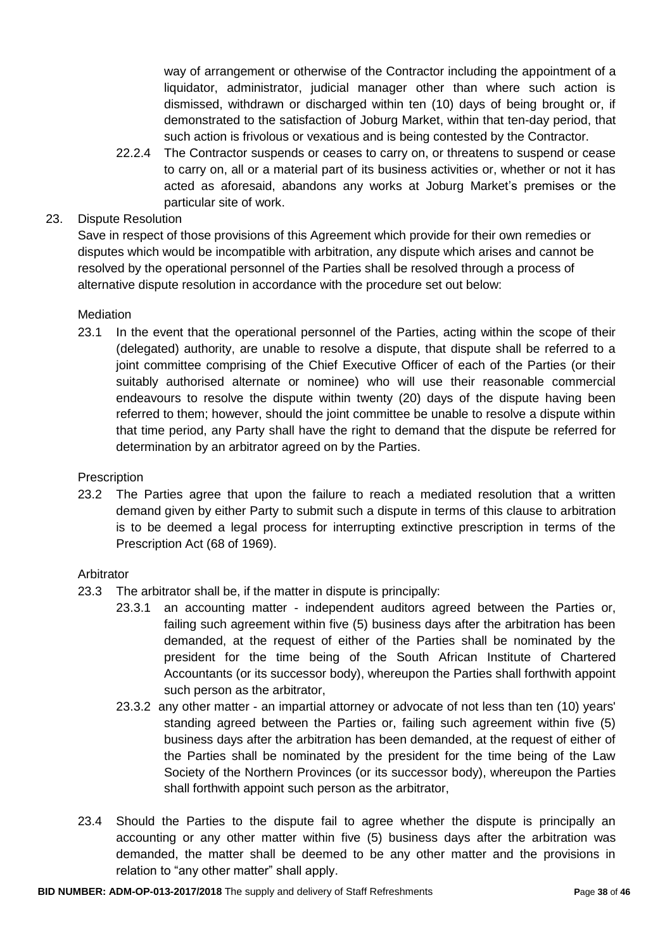way of arrangement or otherwise of the Contractor including the appointment of a liquidator, administrator, judicial manager other than where such action is dismissed, withdrawn or discharged within ten (10) days of being brought or, if demonstrated to the satisfaction of Joburg Market, within that ten-day period, that such action is frivolous or vexatious and is being contested by the Contractor.

22.2.4 The Contractor suspends or ceases to carry on, or threatens to suspend or cease to carry on, all or a material part of its business activities or, whether or not it has acted as aforesaid, abandons any works at Joburg Market's premises or the particular site of work.

# 23. Dispute Resolution

Save in respect of those provisions of this Agreement which provide for their own remedies or disputes which would be incompatible with arbitration, any dispute which arises and cannot be resolved by the operational personnel of the Parties shall be resolved through a process of alternative dispute resolution in accordance with the procedure set out below:

#### **Mediation**

23.1 In the event that the operational personnel of the Parties, acting within the scope of their (delegated) authority, are unable to resolve a dispute, that dispute shall be referred to a joint committee comprising of the Chief Executive Officer of each of the Parties (or their suitably authorised alternate or nominee) who will use their reasonable commercial endeavours to resolve the dispute within twenty (20) days of the dispute having been referred to them; however, should the joint committee be unable to resolve a dispute within that time period, any Party shall have the right to demand that the dispute be referred for determination by an arbitrator agreed on by the Parties.

#### **Prescription**

23.2 The Parties agree that upon the failure to reach a mediated resolution that a written demand given by either Party to submit such a dispute in terms of this clause to arbitration is to be deemed a legal process for interrupting extinctive prescription in terms of the Prescription Act (68 of 1969).

#### Arbitrator

- 23.3 The arbitrator shall be, if the matter in dispute is principally:
	- 23.3.1 an accounting matter independent auditors agreed between the Parties or, failing such agreement within five (5) business days after the arbitration has been demanded, at the request of either of the Parties shall be nominated by the president for the time being of the South African Institute of Chartered Accountants (or its successor body), whereupon the Parties shall forthwith appoint such person as the arbitrator,
	- 23.3.2 any other matter an impartial attorney or advocate of not less than ten (10) years' standing agreed between the Parties or, failing such agreement within five (5) business days after the arbitration has been demanded, at the request of either of the Parties shall be nominated by the president for the time being of the Law Society of the Northern Provinces (or its successor body), whereupon the Parties shall forthwith appoint such person as the arbitrator,
- 23.4 Should the Parties to the dispute fail to agree whether the dispute is principally an accounting or any other matter within five (5) business days after the arbitration was demanded, the matter shall be deemed to be any other matter and the provisions in relation to "any other matter" shall apply.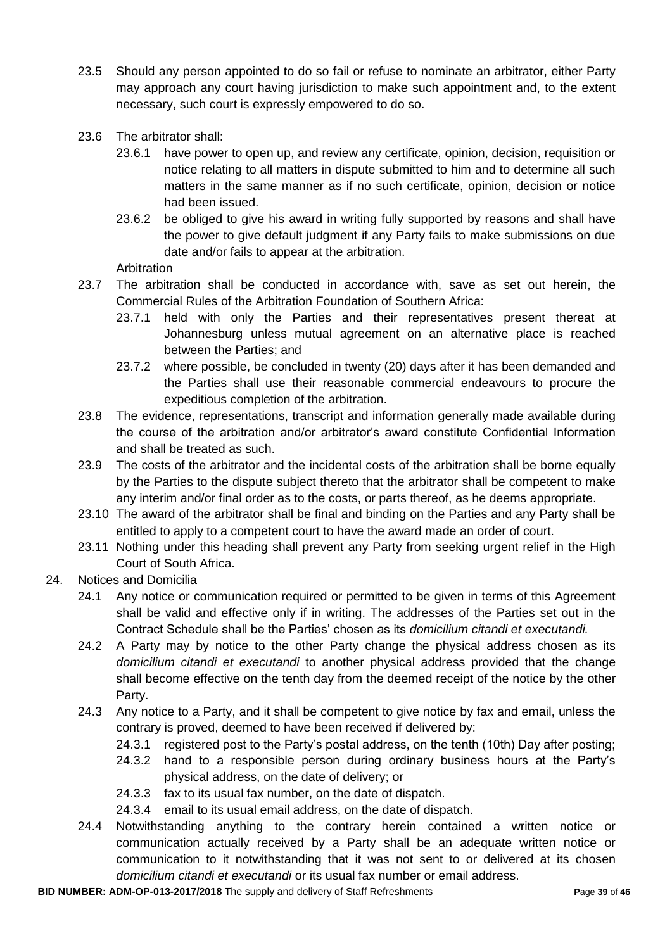- 23.5 Should any person appointed to do so fail or refuse to nominate an arbitrator, either Party may approach any court having jurisdiction to make such appointment and, to the extent necessary, such court is expressly empowered to do so.
- 23.6 The arbitrator shall:
	- 23.6.1 have power to open up, and review any certificate, opinion, decision, requisition or notice relating to all matters in dispute submitted to him and to determine all such matters in the same manner as if no such certificate, opinion, decision or notice had been issued.
	- 23.6.2 be obliged to give his award in writing fully supported by reasons and shall have the power to give default judgment if any Party fails to make submissions on due date and/or fails to appear at the arbitration.

Arbitration

- 23.7 The arbitration shall be conducted in accordance with, save as set out herein, the Commercial Rules of the Arbitration Foundation of Southern Africa:
	- 23.7.1 held with only the Parties and their representatives present thereat at Johannesburg unless mutual agreement on an alternative place is reached between the Parties; and
	- 23.7.2 where possible, be concluded in twenty (20) days after it has been demanded and the Parties shall use their reasonable commercial endeavours to procure the expeditious completion of the arbitration.
- 23.8 The evidence, representations, transcript and information generally made available during the course of the arbitration and/or arbitrator's award constitute Confidential Information and shall be treated as such.
- 23.9 The costs of the arbitrator and the incidental costs of the arbitration shall be borne equally by the Parties to the dispute subject thereto that the arbitrator shall be competent to make any interim and/or final order as to the costs, or parts thereof, as he deems appropriate.
- 23.10 The award of the arbitrator shall be final and binding on the Parties and any Party shall be entitled to apply to a competent court to have the award made an order of court.
- 23.11 Nothing under this heading shall prevent any Party from seeking urgent relief in the High Court of South Africa.
- 24. Notices and Domicilia
	- 24.1 Any notice or communication required or permitted to be given in terms of this Agreement shall be valid and effective only if in writing. The addresses of the Parties set out in the Contract Schedule shall be the Parties' chosen as its *domicilium citandi et executandi.*
	- 24.2 A Party may by notice to the other Party change the physical address chosen as its *domicilium citandi et executandi* to another physical address provided that the change shall become effective on the tenth day from the deemed receipt of the notice by the other Party.
	- 24.3 Any notice to a Party, and it shall be competent to give notice by fax and email, unless the contrary is proved, deemed to have been received if delivered by:
		- 24.3.1 registered post to the Party's postal address, on the tenth (10th) Day after posting;
		- 24.3.2 hand to a responsible person during ordinary business hours at the Party's physical address, on the date of delivery; or
		- 24.3.3 fax to its usual fax number, on the date of dispatch.
		- 24.3.4 email to its usual email address, on the date of dispatch.
	- 24.4 Notwithstanding anything to the contrary herein contained a written notice or communication actually received by a Party shall be an adequate written notice or communication to it notwithstanding that it was not sent to or delivered at its chosen *domicilium citandi et executandi* or its usual fax number or email address.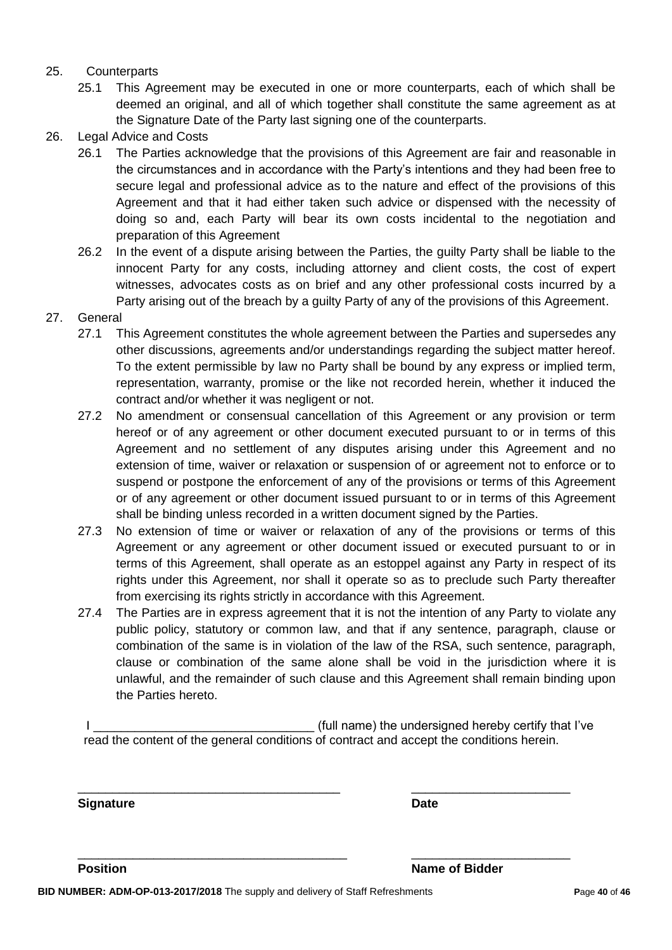#### 25. Counterparts

- 25.1 This Agreement may be executed in one or more counterparts, each of which shall be deemed an original, and all of which together shall constitute the same agreement as at the Signature Date of the Party last signing one of the counterparts.
- 26. Legal Advice and Costs
	- 26.1 The Parties acknowledge that the provisions of this Agreement are fair and reasonable in the circumstances and in accordance with the Party's intentions and they had been free to secure legal and professional advice as to the nature and effect of the provisions of this Agreement and that it had either taken such advice or dispensed with the necessity of doing so and, each Party will bear its own costs incidental to the negotiation and preparation of this Agreement
	- 26.2 In the event of a dispute arising between the Parties, the guilty Party shall be liable to the innocent Party for any costs, including attorney and client costs, the cost of expert witnesses, advocates costs as on brief and any other professional costs incurred by a Party arising out of the breach by a guilty Party of any of the provisions of this Agreement.
- 27. General
	- 27.1 This Agreement constitutes the whole agreement between the Parties and supersedes any other discussions, agreements and/or understandings regarding the subject matter hereof. To the extent permissible by law no Party shall be bound by any express or implied term, representation, warranty, promise or the like not recorded herein, whether it induced the contract and/or whether it was negligent or not.
	- 27.2 No amendment or consensual cancellation of this Agreement or any provision or term hereof or of any agreement or other document executed pursuant to or in terms of this Agreement and no settlement of any disputes arising under this Agreement and no extension of time, waiver or relaxation or suspension of or agreement not to enforce or to suspend or postpone the enforcement of any of the provisions or terms of this Agreement or of any agreement or other document issued pursuant to or in terms of this Agreement shall be binding unless recorded in a written document signed by the Parties.
	- 27.3 No extension of time or waiver or relaxation of any of the provisions or terms of this Agreement or any agreement or other document issued or executed pursuant to or in terms of this Agreement, shall operate as an estoppel against any Party in respect of its rights under this Agreement, nor shall it operate so as to preclude such Party thereafter from exercising its rights strictly in accordance with this Agreement.
	- 27.4 The Parties are in express agreement that it is not the intention of any Party to violate any public policy, statutory or common law, and that if any sentence, paragraph, clause or combination of the same is in violation of the law of the RSA, such sentence, paragraph, clause or combination of the same alone shall be void in the jurisdiction where it is unlawful, and the remainder of such clause and this Agreement shall remain binding upon the Parties hereto.

I Letterman the state of the undersigned hereby certify that I've is a state of the undersigned hereby certify that I've read the content of the general conditions of contract and accept the conditions herein.

\_\_\_\_\_\_\_\_\_\_\_\_\_\_\_\_\_\_\_\_\_\_\_\_\_\_\_\_\_\_\_\_\_\_\_\_\_\_ \_\_\_\_\_\_\_\_\_\_\_\_\_\_\_\_\_\_\_\_\_\_\_

\_\_\_\_\_\_\_\_\_\_\_\_\_\_\_\_\_\_\_\_\_\_\_\_\_\_\_\_\_\_\_\_\_\_\_\_\_\_\_ \_\_\_\_\_\_\_\_\_\_\_\_\_\_\_\_\_\_\_\_\_\_\_

**Signature Date**

**Position Name of Bidder**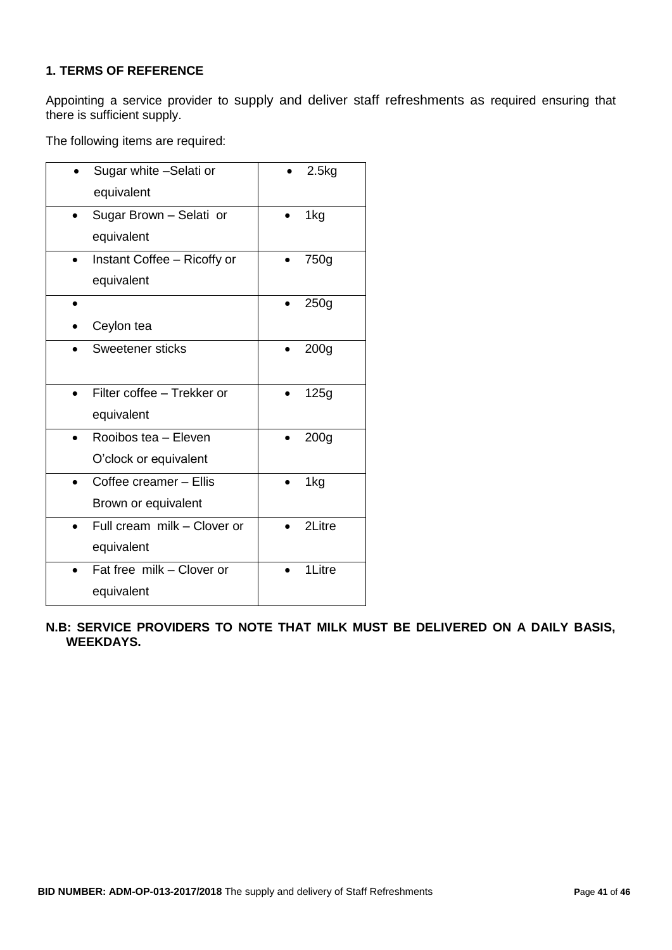# **1. TERMS OF REFERENCE**

Appointing a service provider to supply and deliver staff refreshments as required ensuring that there is sufficient supply.

The following items are required:

| Sugar white -Selati or      | 2.5kg            |
|-----------------------------|------------------|
| equivalent                  |                  |
| Sugar Brown - Selati or     | 1kg              |
| equivalent                  |                  |
| Instant Coffee - Ricoffy or | 750g             |
| equivalent                  |                  |
|                             | 250 <sub>g</sub> |
| Ceylon tea                  |                  |
| <b>Sweetener sticks</b>     | 200 <sub>g</sub> |
|                             |                  |
| Filter coffee - Trekker or  | 125g             |
| equivalent                  |                  |
| Rooibos tea - Eleven        | 200 <sub>g</sub> |
| O'clock or equivalent       |                  |
| Coffee creamer - Ellis      | 1kg              |
| Brown or equivalent         |                  |
| Full cream milk - Clover or | 2Litre           |
| equivalent                  |                  |
| Fat free milk - Clover or   | 1Litre           |
| equivalent                  |                  |

**N.B: SERVICE PROVIDERS TO NOTE THAT MILK MUST BE DELIVERED ON A DAILY BASIS, WEEKDAYS.**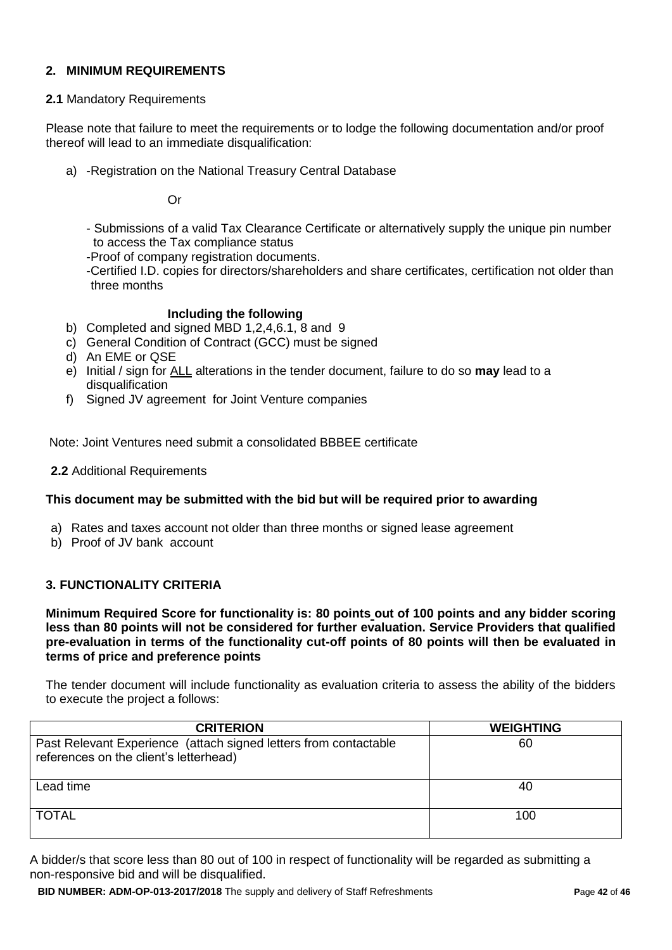### **2. MINIMUM REQUIREMENTS**

#### **2.1** Mandatory Requirements

Please note that failure to meet the requirements or to lodge the following documentation and/or proof thereof will lead to an immediate disqualification:

a) -Registration on the National Treasury Central Database

Or

- Submissions of a valid Tax Clearance Certificate or alternatively supply the unique pin number to access the Tax compliance status

-Proof of company registration documents.

-Certified I.D. copies for directors/shareholders and share certificates, certification not older than three months

#### **Including the following**

- b) Completed and signed MBD 1,2,4,6.1, 8 and 9
- c) General Condition of Contract (GCC) must be signed
- d) An EME or QSE
- e) Initial / sign for ALL alterations in the tender document, failure to do so **may** lead to a disqualification
- f) Signed JV agreement for Joint Venture companies

Note: Joint Ventures need submit a consolidated BBBEE certificate

**2.2** Additional Requirements

#### **This document may be submitted with the bid but will be required prior to awarding**

- a) Rates and taxes account not older than three months or signed lease agreement
- b) Proof of JV bank account

#### **3. FUNCTIONALITY CRITERIA**

**Minimum Required Score for functionality is: 80 points out of 100 points and any bidder scoring less than 80 points will not be considered for further evaluation. Service Providers that qualified pre-evaluation in terms of the functionality cut-off points of 80 points will then be evaluated in terms of price and preference points** 

The tender document will include functionality as evaluation criteria to assess the ability of the bidders to execute the project a follows:

| <b>CRITERION</b>                                                                                           | <b>WEIGHTING</b> |
|------------------------------------------------------------------------------------------------------------|------------------|
| Past Relevant Experience (attach signed letters from contactable<br>references on the client's letterhead) | 60               |
| Lead time                                                                                                  | 40               |
| <b>TOTAL</b>                                                                                               | 100              |

A bidder/s that score less than 80 out of 100 in respect of functionality will be regarded as submitting a non-responsive bid and will be disqualified.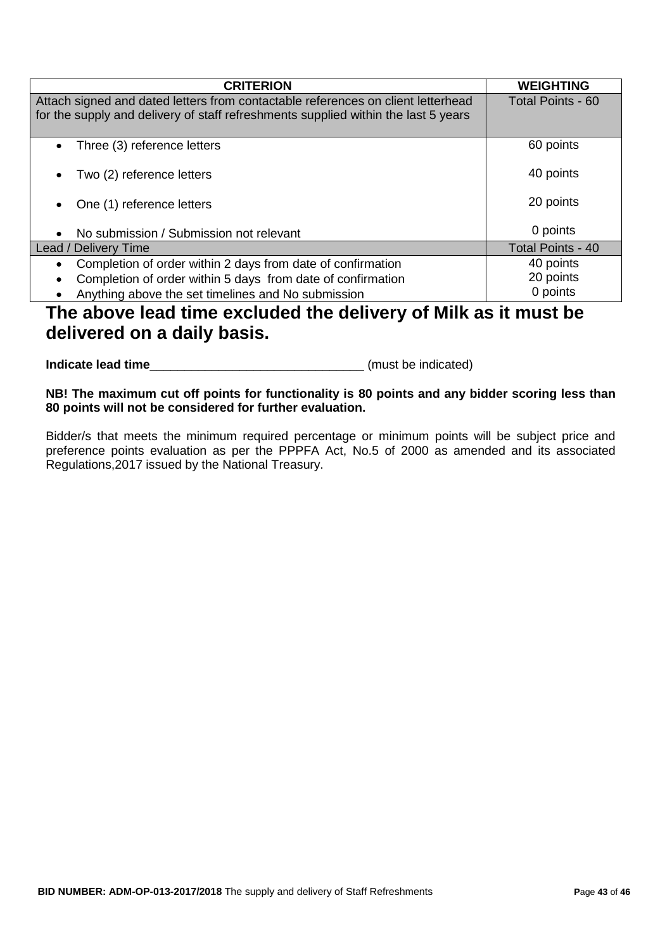| <b>CRITERION</b>                                                                                                                                                       | <b>WEIGHTING</b>         |
|------------------------------------------------------------------------------------------------------------------------------------------------------------------------|--------------------------|
| Attach signed and dated letters from contactable references on client letterhead<br>for the supply and delivery of staff refreshments supplied within the last 5 years | <b>Total Points - 60</b> |
|                                                                                                                                                                        |                          |
| Three (3) reference letters<br>$\bullet$                                                                                                                               | 60 points                |
| Two (2) reference letters<br>$\bullet$                                                                                                                                 | 40 points                |
| One (1) reference letters<br>$\bullet$                                                                                                                                 | 20 points                |
| No submission / Submission not relevant<br>$\bullet$                                                                                                                   | 0 points                 |
| Lead / Delivery Time                                                                                                                                                   | Total Points - 40        |
| Completion of order within 2 days from date of confirmation<br>$\bullet$                                                                                               | 40 points                |
| Completion of order within 5 days from date of confirmation<br>$\bullet$                                                                                               | 20 points                |
| Anything above the set timelines and No submission<br>$\bullet$                                                                                                        | 0 points                 |

# **The above lead time excluded the delivery of Milk as it must be delivered on a daily basis.**

**Indicate lead time indicate lead time** 

**NB! The maximum cut off points for functionality is 80 points and any bidder scoring less than 80 points will not be considered for further evaluation.** 

Bidder/s that meets the minimum required percentage or minimum points will be subject price and preference points evaluation as per the PPPFA Act, No.5 of 2000 as amended and its associated Regulations,2017 issued by the National Treasury.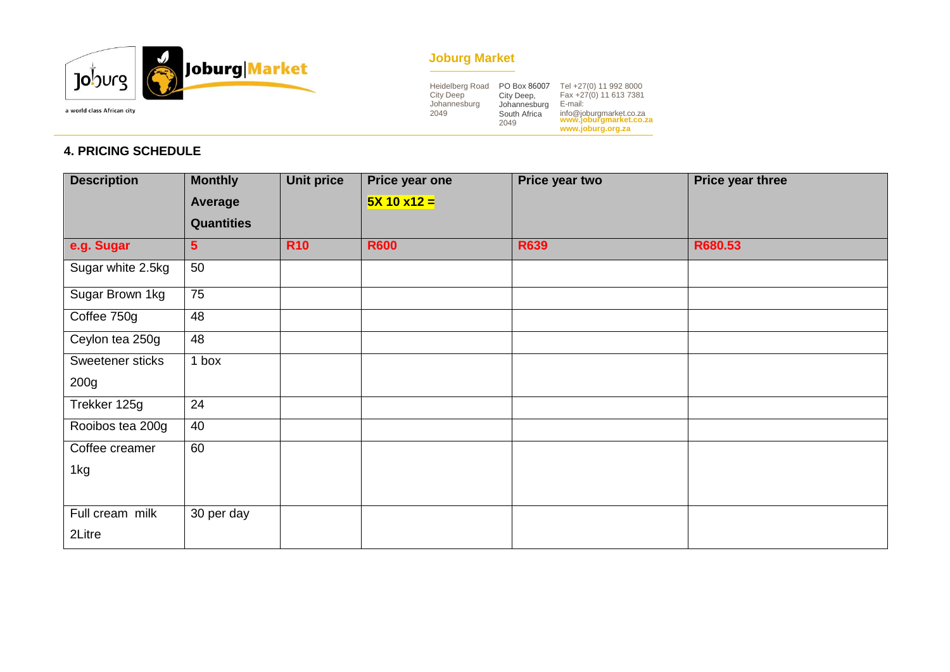

# **Joburg Market**

| <b>Heidelberg Road</b><br><b>City Deep</b><br>Johannesburg<br>2049 | PO Box 86007<br>City Deep,<br>Johannesburg<br>South Africa<br>2049 | Tel +27(0) 11 992 8000<br>Fax +27(0) 11 613 7381<br>E-mail:<br>info@joburgmarket.co.za<br>www.joburgmarket.co.za<br>www.joburg.org.za |
|--------------------------------------------------------------------|--------------------------------------------------------------------|---------------------------------------------------------------------------------------------------------------------------------------|
|--------------------------------------------------------------------|--------------------------------------------------------------------|---------------------------------------------------------------------------------------------------------------------------------------|

# **4. PRICING SCHEDULE**

| <b>Description</b> | <b>Monthly</b>    | <b>Unit price</b> | Price year one | Price year two | Price year three |
|--------------------|-------------------|-------------------|----------------|----------------|------------------|
|                    | <b>Average</b>    |                   | $5X 10 x12 =$  |                |                  |
|                    | <b>Quantities</b> |                   |                |                |                  |
| e.g. Sugar         | 5 <sup>5</sup>    | <b>R10</b>        | <b>R600</b>    | <b>R639</b>    | R680.53          |
| Sugar white 2.5kg  | 50                |                   |                |                |                  |
| Sugar Brown 1kg    | $\overline{75}$   |                   |                |                |                  |
| Coffee 750g        | 48                |                   |                |                |                  |
| Ceylon tea 250g    | 48                |                   |                |                |                  |
| Sweetener sticks   | 1 box             |                   |                |                |                  |
| 200g               |                   |                   |                |                |                  |
| Trekker 125g       | 24                |                   |                |                |                  |
| Rooibos tea 200g   | 40                |                   |                |                |                  |
| Coffee creamer     | 60                |                   |                |                |                  |
| 1kg                |                   |                   |                |                |                  |
|                    |                   |                   |                |                |                  |
| Full cream milk    | 30 per day        |                   |                |                |                  |
| 2Litre             |                   |                   |                |                |                  |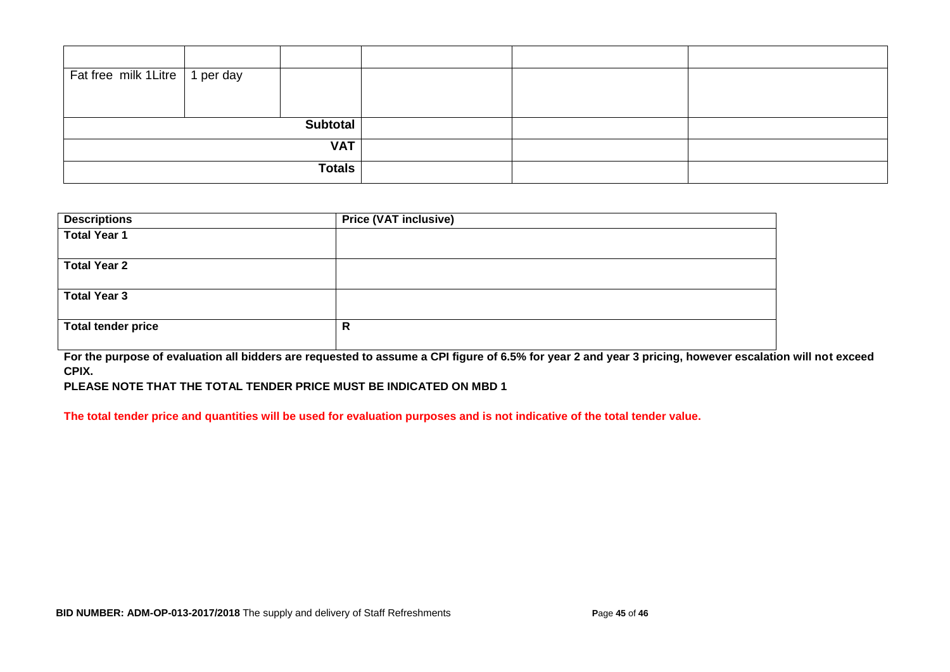| Fat free milk 1 Litre   1 per day |  |  |  |  |
|-----------------------------------|--|--|--|--|
|                                   |  |  |  |  |
| <b>Subtotal</b>                   |  |  |  |  |
|                                   |  |  |  |  |
| <b>VAT</b>                        |  |  |  |  |
| <b>Totals</b>                     |  |  |  |  |

| <b>Descriptions</b>       | <b>Price (VAT inclusive)</b> |
|---------------------------|------------------------------|
| <b>Total Year 1</b>       |                              |
| <b>Total Year 2</b>       |                              |
| <b>Total Year 3</b>       |                              |
| <b>Total tender price</b> | R                            |

**For the purpose of evaluation all bidders are requested to assume a CPI figure of 6.5% for year 2 and year 3 pricing, however escalation will not exceed CPIX.** 

**PLEASE NOTE THAT THE TOTAL TENDER PRICE MUST BE INDICATED ON MBD 1**

**The total tender price and quantities will be used for evaluation purposes and is not indicative of the total tender value.**